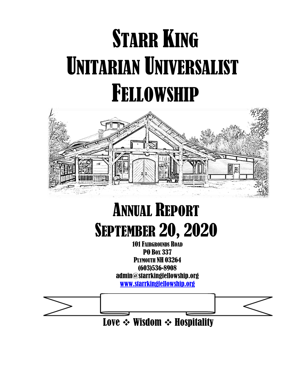# **STARR KING** UNITARIAN UNIVERSALIST FELLOWSHIP



# ANNUAL REPORT **SEPTEMBER 20, 2020**

101 FAIRGROUNDS ROAD PO BOX 337 **PLYMOUTH NH 03264** (603)536-8908 admin@starrkingfellowship.org [www.starrkingfellowship.org](http://www.starrkingfellowship.org/)

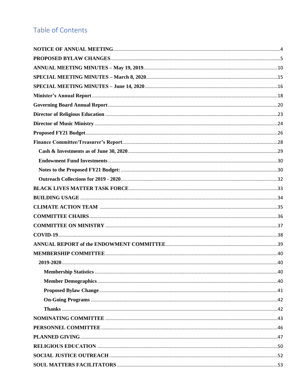# Table of Contents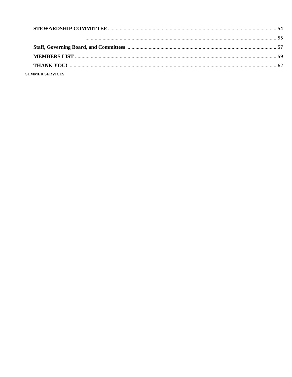| <b>SUMMER SERVICES</b> |  |
|------------------------|--|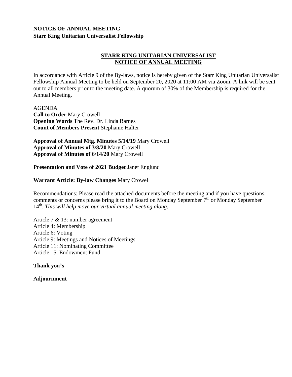#### <span id="page-3-0"></span>**NOTICE OF ANNUAL MEETING Starr King Unitarian Universalist Fellowship**

#### **STARR KING UNITARIAN UNIVERSALIST NOTICE OF ANNUAL MEETING**

In accordance with Article 9 of the By-laws, notice is hereby given of the Starr King Unitarian Universalist Fellowship Annual Meeting to be held on September 20, 2020 at 11:00 AM via Zoom. A link will be sent out to all members prior to the meeting date. A quorum of 30% of the Membership is required for the Annual Meeting.

AGENDA **Call to Order** Mary Crowell **Opening Words** The Rev. Dr. Linda Barnes **Count of Members Present** Stephanie Halter

**Approval of Annual Mtg. Minutes 5/14/19** Mary Crowell **Approval of Minutes of 3/8/20** Mary Crowell **Approval of Minutes of 6/14/20** Mary Crowell

**Presentation and Vote of 2021 Budget** Janet Englund

#### **Warrant Article: By-law Changes** Mary Crowell

Recommendations: Please read the attached documents before the meeting and if you have questions, comments or concerns please bring it to the Board on Monday September 7<sup>th</sup> or Monday September 14<sup>th</sup>. This will help move our virtual annual meeting along.

Article 7 & 13: number agreement Article 4: Membership Article 6: Voting Article 9: Meetings and Notices of Meetings Article 11: Nominating Committee Article 15: Endowment Fund

**Thank you's**

**Adjournment**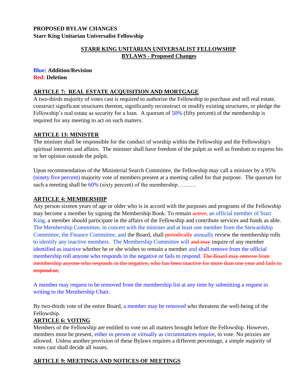#### <span id="page-4-0"></span>**PROPOSED BYLAW CHANGES Starr King Unitarian Universalist Fellowship**

#### **STARR KING UNITARIAN UNIVERSALIST FELLOWSHIP BYLAWS - Proposed Changes**

#### **Blue: Addition/Revision Red: Deletion**

#### **ARTICLE 7: REAL ESTATE ACQUISITION AND MORTGAGE**

A two-thirds majority of votes cast is required to authorize the Fellowship to purchase and sell real estate, construct significant structures thereon, significantly reconstruct or modify existing structures, or pledge the Fellowship's real estate as security for a loan. A quorum of 50% (fifty percent) of the membership is required for any meeting to act on such matters.

#### **ARTICLE 13: MINISTER**

The minister shall be responsible for the conduct of worship within the Fellowship and the Fellowship's spiritual interests and affairs. The minister shall have freedom of the pulpit as well as freedom to express his or her opinion outside the pulpit.

Upon recommendation of the Ministerial Search Committee, the Fellowship may call a minister by a 95% (ninety five percent) majority vote of members present at a meeting called for that purpose. The quorum for such a meeting shall be 60% (sixty percent) of the membership……….

#### **ARTICLE 4: MEMBERSHIP**

Any person sixteen years of age or older who is in accord with the purposes and programs of the Fellowship may become a member by signing the Membership Book. To remain active, an official member of Starr King, a member should participate in the affairs of the Fellowship and contribute services and funds as able. The Membership Committee, in concert with the minister and at least one member from the Stewardship Committee, the Finance Committee, and the Board, shall **periodically** annually review the membership rolls to identify any inactive members. The Membership Committee will and may inquire of any member identified as inactive whether he or she wishes to remain a member and shall remove from the official membership roll anyone who responds in the negative or fails to respond. The Board may remove from membership anyone who responds in the negative, who has been inactive for more than one year and fails to respond or,

A member may request to be removed from the membership list at any time by submitting a request in writing to the Membership Chair.

By two-thirds vote of the entire Board, a member may be removed who threatens the well-being of the Fellowship.

#### **ARTICLE 6: VOTING**

Members of the Fellowship are entitled to vote on all matters brought before the Fellowship. However, members must be present, either in person or virtually as circumstances require, to vote. No proxies are allowed.Unless another provision of these Bylaws requires a different percentage, a simple majority of votes cast shall decide all issues.

#### **ARTICLE 9: MEETINGS AND NOTICES OF MEETINGS**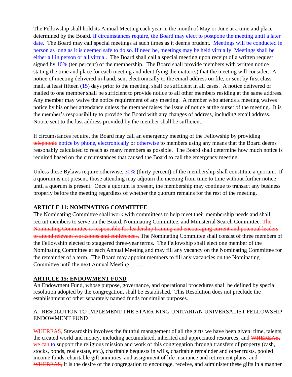The Fellowship shall hold its Annual Meeting each year in the month of May or June at a time and place determined by the Board. If circumstances require, the Board may elect to postpone the meeting until a later date. The Board may call special meetings at such times as it deems prudent. Meetings will be conducted in person as long as it is deemed safe to do so. If need be, meetings may be held virtually. Meetings shall be either all in person or all virtual. The Board shall call a special meeting upon receipt of a written request signed by 10% (ten percent) of the membership. The Board shall provide members with written notice stating the time and place for each meeting and identifying the matter(s) that the meeting will consider. A notice of meeting delivered in-hand, sent electronically to the email address on file, or sent by first class mail, at least fifteen (15) days prior to the meeting, shall be sufficient in all cases. A notice delivered or mailed to one member shall be sufficient to provide notice to all other members residing at the same address. Any member may waive the notice requirement of any meeting. A member who attends a meeting waives notice by his or her attendance unless the member raises the issue of notice at the outset of the meeting. It is the member's responsibility to provide the Board with any changes of address, including email address. Notice sent to the last address provided by the member shall be sufficient.

If circumstances require, the Board may call an emergency meeting of the Fellowship by providing telephonic notice by phone, electronically or otherwise to members using any means that the Board deems reasonably calculated to reach as many members as possible. The Board shall determine how much notice is required based on the circumstances that caused the Board to call the emergency meeting.

Unless these Bylaws require otherwise,  $30\%$  (thirty percent) of the membership shall constitute a quorum. If a quorum is not present, those attending may adjourn the meeting from time to time without further notice until a quorum is present. Once a quorum is present, the membership may continue to transact any business properly before the meeting regardless of whether the quorum remains for the rest of the meeting.

#### **ARTICLE 11: NOMINATING COMMITTEE**

The Nominating Committee shall work with committees to help meet their membership needs and shall recruit members to serve on the Board, Nominating Committee, and Ministerial Search Committee. The Nominating Committee is responsible for leadership training and encouraging current and potential leaders to attend relevant workshops and conferences. The Nominating Committee shall consist of three members of the Fellowship elected to staggered three-year terms. The Fellowship shall elect one member of the Nominating Committee at each Annual Meeting and may fill any vacancy on the Nominating Committee for the remainder of a term. The Board may appoint members to fill any vacancies on the Nominating Committee until the next Annual Meeting……..

#### **ARTICLE 15: ENDOWMENT FUND**

An Endowment Fund, whose purpose, governance, and operational procedures shall be defined by special resolution adopted by the congregation, shall be established. This Resolution does not preclude the establishment of other separately named funds for similar purposes.

#### A. RESOLUTION TO IMPLEMENT THE STARR KING UNITARIAN UNIVERSALIST FELLOWSHIP ENDOWMENT FUND

WHEREAS, Stewardship involves the faithful management of all the gifts we have been given: time, talents, the created world and money, including accumulated, inherited and appreciated resources; and WHEREAS, we can to support the religious mission and work of this congregation through transfers of property (cash, stocks, bonds, real estate, etc.), charitable bequests in wills, charitable remainder and other trusts, pooled income funds, charitable gift annuities, and assignment of life insurance and retirement plans; and WHEREAS, it is the desire of the congregation to encourage, receive, and administer these gifts in a manner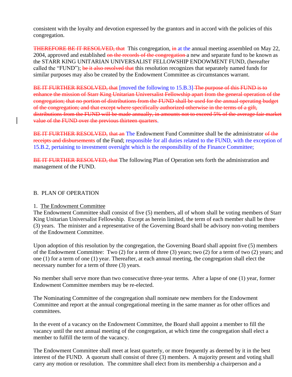consistent with the loyalty and devotion expressed by the grantors and in accord with the policies of this congregation.

THEREFORE BE IT RESOLVED, that This congregation, in at the annual meeting assembled on May 22, 2004, approved and established on the records of the congregation a new and separate fund to be known as the STARR KING UNITARIAN UNIVERSALIST FELLOWSHIP ENDOWMENT FUND, (hereafter called the "FUND"); be it also resolved that this resolution recognizes that separately named funds for similar purposes may also be created by the Endowment Committee as circumstances warrant.

BE IT FURTHER RESOLVED, that [moved the following to 15.B.3] The purpose of this FUND is to enhance the mission of Starr King Unitarian Universalist Fellowship apart from the general operation of the congregation; that no portion of distributions from the FUND shall be used for the annual operating budget of the congregation; and that except where specifically authorized otherwise in the terms of a gift, distributions from the FUND will be made annually, in amounts not to exceed 5% of the average fair market value of the FUND over the previous thirteen quarters.

BE IT FURTHER RESOLVED, that an The Endowment Fund Committee shall be the administrator of the receipts and disbursements of the Fund; responsible for all duties related to the FUND, with the exception of 15.B.2, pertaining to investment oversight which is the responsibility of the Finance Committee;

BE IT FURTHER RESOLVED, that The following Plan of Operation sets forth the administration and management of the FUND.

#### B. PLAN OF OPERATION

#### 1. The Endowment Committee

The Endowment Committee shall consist of five (5) members, all of whom shall be voting members of Starr King Unitarian Universalist Fellowship. Except as herein limited, the term of each member shall be three (3) years. The minister and a representative of the Governing Board shall be advisory non-voting members of the Endowment Committee.

Upon adoption of this resolution by the congregation, the Governing Board shall appoint five (5) members of the Endowment Committee: Two (2) for a term of three (3) years; two (2) for a term of two (2) years; and one (1) for a term of one (1) year. Thereafter, at each annual meeting, the congregation shall elect the necessary number for a term of three (3) years.

No member shall serve more than two consecutive three-year terms. After a lapse of one (1) year, former Endowment Committee members may be re-elected.

The Nominating Committee of the congregation shall nominate new members for the Endowment Committee and report at the annual congregational meeting in the same manner as for other offices and committees.

In the event of a vacancy on the Endowment Committee, the Board shall appoint a member to fill the vacancy until the next annual meeting of the congregation, at which time the congregation shall elect a member to fulfill the term of the vacancy.

The Endowment Committee shall meet at least quarterly, or more frequently as deemed by it in the best interest of the FUND. A quorum shall consist of three (3) members. A majority present and voting shall carry any motion or resolution. The committee shall elect from its membership a chairperson and a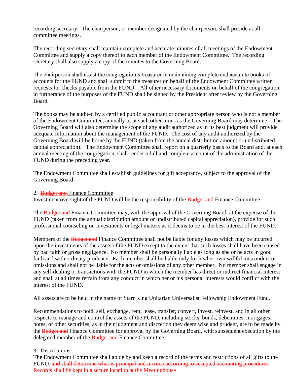recording secretary. The chairperson, or member designated by the chairperson, shall preside at all committee meetings.

The recording secretary shall maintain complete and accurate minutes of all meetings of the Endowment Committee and supply a copy thereof to each member of the Endowment Committee. The recording secretary shall also supply a copy of the minutes to the Governing Board.

The chairperson shall assist the congregation's treasurer in maintaining complete and accurate books of accounts for the FUND and shall submit to the treasurer on behalf of the Endowment Committee written requests for checks payable from the FUND. All other necessary documents on behalf of the congregation in furtherance of the purposes of the FUND shall be signed by the President after review by the Governing Board.

The books may be audited by a certified public accountant or other appropriate person who is not a member of the Endowment Committee, annually or at such other times as the Governing Board may determine. The Governing Board will also determine the scope of any audit authorized as in its best judgment will provide adequate information about the management of the FUND. The cost of any audit authorized by the Governing Board will be borne by the FUND (taken from the annual distribution amount or undistributed capital appreciation). The Endowment Committee shall report on a quarterly basis to the Board and, at each annual meeting of the congregation, shall render a full and complete account of the administration of the FUND during the preceding year.

The Endowment Committee shall establish guidelines for gift acceptance, subject to the approval of the Governing Board.

#### 2. **Budget and Finance Committee**

Investment oversight of the FUND will be the responsibility of the Budget and Finance Committee.

The Budget and Finance Committee may, with the approval of the Governing Board, at the expense of the FUND (taken from the annual distribution amount or undistributed capital appreciation), provide for such professional counseling on investments or legal matters as it deems to be in the best interest of the FUND.

Members of the **Budget and** Finance Committee shall not be liable for any losses which may be incurred upon the investments of the assets of the FUND except to the extent that such losses shall have been caused by bad faith or gross negligence. No member shall be personally liable as long as she or he acts in good faith and with ordinary prudence. Each member shall be liable only for his/her own willful misconduct or omissions and shall not be liable for the acts or omissions of any other member. No member shall engage in any self-dealing or transactions with the FUND in which the member has direct or indirect financial interest and shall at all times refrain from any conduct in which her or his personal interests would conflict with the interest of the FUND.

All assets are to be held in the name of Starr King Unitarian Universalist Fellowship Endowment Fund.

Recommendations to hold, sell, exchange, rent, lease, transfer, convert, invest, reinvest, and in all other respects to manage and control the assets of the FUND, including stocks, bonds, debentures, mortgages, notes, or other securities, as in their judgment and discretion they deem wise and prudent, are to be made by the Budget and Finance Committee for approval by the Governing Board, with subsequent execution by the delegated member of the **Budget and** Finance Committee.

#### 3. Distributions

The Endowment Committee shall abide by and keep a record of the terms and restrictions of all gifts to the FUND. and shall determine what is principal and income according to accepted accounting procedures. Records shall be kept in a secure location at the Meetinghouse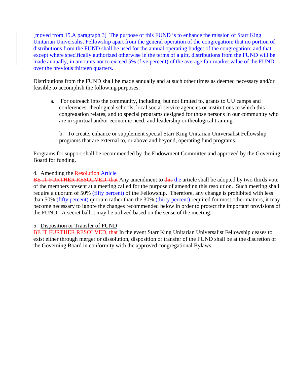[moved from 15.A paragraph 3] The purpose of this FUND is to enhance the mission of Starr King Unitarian Universalist Fellowship apart from the general operation of the congregation; that no portion of distributions from the FUND shall be used for the annual operating budget of the congregation; and that except where specifically authorized otherwise in the terms of a gift, distributions from the FUND will be made annually, in amounts not to exceed 5% (five percent) of the average fair market value of the FUND over the previous thirteen quarters.

Distributions from the FUND shall be made annually and at such other times as deemed necessary and/or feasible to accomplish the following purposes:

a. For outreach into the community, including, but not limited to, grants to UU camps and conferences, theological schools, local social service agencies or institutions to which this congregation relates, and to special programs designed for those persons in our community who are in spiritual and/or economic need; and leadership or theological training.

b. To create, enhance or supplement special Starr King Unitarian Universalist Fellowship programs that are external to, or above and beyond, operating fund programs.

Programs for support shall be recommended by the Endowment Committee and approved by the Governing Board for funding.

#### 4. Amending the Resolution Article

BE IT FURTHER RESOLVED, that Any amendment to this the article shall be adopted by two thirds vote of the members present at a meeting called for the purpose of amending this resolution. Such meeting shall require a quorum of 50% (fifty percent) of the Fellowship**.** Therefore, any change is prohibited with less than 50% (fifty percent) quorum rather than the 30% (thirty percent) required for most other matters, it may become necessary to ignore the changes recommended below in order to protect the important provisions of the FUND. A secret ballot may be utilized based on the sense of the meeting.

#### 5. Disposition or Transfer of FUND

BE IT FURTHER RESOLVED, that In the event Starr King Unitarian Universalist Fellowship ceases to exist either through merger or dissolution, disposition or transfer of the FUND shall be at the discretion of the Governing Board in conformity with the approved congregational Bylaws.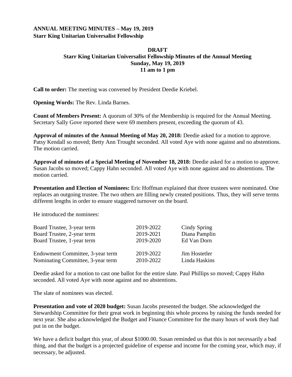#### <span id="page-9-0"></span>**ANNUAL MEETING MINUTES – May 19, 2019 Starr King Unitarian Universalist Fellowship**

#### **DRAFT Starr King Unitarian Universalist Fellowship Minutes of the Annual Meeting Sunday, May 19, 2019 11 am to 1 pm**

**Call to order:** The meeting was convened by President Deedie Kriebel.

**Opening Words:** The Rev. Linda Barnes.

**Count of Members Present:** A quorum of 30% of the Membership is required for the Annual Meeting. Secretary Sally Gove reported there were 69 members present, exceeding the quorum of 43.

**Approval of minutes of the Annual Meeting of May 20, 2018:** Deedie asked for a motion to approve. Patsy Kendall so moved; Betty Ann Trought seconded. All voted Aye with none against and no abstentions. The motion carried.

**Approval of minutes of a Special Meeting of November 18, 2018:** Deedie asked for a motion to approve. Susan Jacobs so moved; Cappy Hahn seconded. All voted Aye with none against and no abstentions. The motion carried.

**Presentation and Election of Nominees:** Eric Hoffman explained that three trustees were nominated. One replaces an outgoing trustee. The two others are filling newly created positions. Thus, they will serve terms different lengths in order to ensure staggered turnover on the board.

He introduced the nominees:

| Board Trustee, 3-year term        | 2019-2022 | Cindy Spring  |
|-----------------------------------|-----------|---------------|
| Board Trustee, 2-year term        | 2019-2021 | Diana Pamplin |
| Board Trustee, 1-year term        | 2019-2020 | Ed Van Dorn   |
| Endowment Committee, 3-year term  | 2019-2022 | Jim Hostetler |
| Nominating Committee, 3-year term | 2010-2022 | Linda Haskins |

Deedie asked for a motion to cast one ballot for the entire slate. Paul Phillips so moved; Cappy Hahn seconded. All voted Aye with none against and no abstentions.

The slate of nominees was elected.

**Presentation and vote of 2020 budget:** Susan Jacobs presented the budget. She acknowledged the Stewardship Committee for their great work in beginning this whole process by raising the funds needed for next year. She also acknowledged the Budget and Finance Committee for the many hours of work they had put in on the budget.

We have a deficit budget this year, of about \$1000.00. Susan reminded us that this is not necessarily a bad thing, and that the budget is a projected guideline of expense and income for the coming year, which may, if necessary, be adjusted.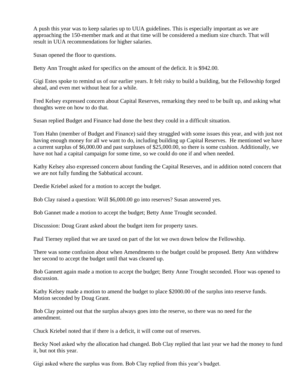A push this year was to keep salaries up to UUA guidelines. This is especially important as we are approaching the 150-member mark and at that time will be considered a medium size church. That will result in UUA recommendations for higher salaries.

Susan opened the floor to questions.

Betty Ann Trought asked for specifics on the amount of the deficit. It is \$942.00.

Gigi Estes spoke to remind us of our earlier years. It felt risky to build a building, but the Fellowship forged ahead, and even met without heat for a while.

Fred Kelsey expressed concern about Capital Reserves, remarking they need to be built up, and asking what thoughts were on how to do that.

Susan replied Budget and Finance had done the best they could in a difficult situation.

Tom Hahn (member of Budget and Finance) said they struggled with some issues this year, and with just not having enough money for all we want to do, including building up Capital Reserves. He mentioned we have a current surplus of \$6,000.00 and past surpluses of \$25,000.00, so there is some cushion. Additionally, we have not had a capital campaign for some time, so we could do one if and when needed.

Kathy Kelsey also expressed concern about funding the Capital Reserves, and in addition noted concern that we are not fully funding the Sabbatical account.

Deedie Kriebel asked for a motion to accept the budget.

Bob Clay raised a question: Will \$6,000.00 go into reserves? Susan answered yes.

Bob Gannet made a motion to accept the budget; Betty Anne Trought seconded.

Discussion: Doug Grant asked about the budget item for property taxes.

Paul Tierney replied that we are taxed on part of the lot we own down below the Fellowship.

There was some confusion about when Amendments to the budget could be proposed. Betty Ann withdrew her second to accept the budget until that was cleared up.

Bob Gannett again made a motion to accept the budget; Betty Anne Trought seconded. Floor was opened to discussion.

Kathy Kelsey made a motion to amend the budget to place \$2000.00 of the surplus into reserve funds. Motion seconded by Doug Grant.

Bob Clay pointed out that the surplus always goes into the reserve, so there was no need for the amendment.

Chuck Kriebel noted that if there is a deficit, it will come out of reserves.

Becky Noel asked why the allocation had changed. Bob Clay replied that last year we had the money to fund it, but not this year.

Gigi asked where the surplus was from. Bob Clay replied from this year's budget.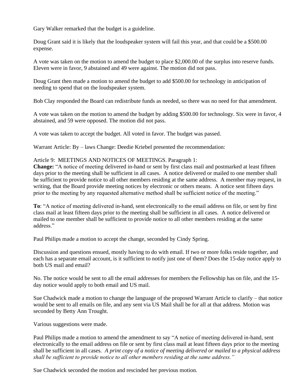Gary Walker remarked that the budget is a guideline.

Doug Grant said it is likely that the loudspeaker system will fail this year, and that could be a \$500.00 expense.

A vote was taken on the motion to amend the budget to place \$2,000.00 of the surplus into reserve funds. Eleven were in favor, 9 abstained and 49 were against. The motion did not pass.

Doug Grant then made a motion to amend the budget to add \$500.00 for technology in anticipation of needing to spend that on the loudspeaker system.

Bob Clay responded the Board can redistribute funds as needed, so there was no need for that amendment.

A vote was taken on the motion to amend the budget by adding \$500.00 for technology. Six were in favor, 4 abstained, and 59 were opposed. The motion did not pass.

A vote was taken to accept the budget. All voted in favor. The budget was passed.

Warrant Article: By – laws Change: Deedie Kriebel presented the recommendation:

#### Article 9: MEETINGS AND NOTICES OF MEETINGS. Paragraph 1:

**Change:** "A notice of meeting delivered in-hand or sent by first class mail and postmarked at least fifteen days prior to the meeting shall be sufficient in all cases. A notice delivered or mailed to one member shall be sufficient to provide notice to all other members residing at the same address. A member may request, in writing, that the Board provide meeting notices by electronic or others means. A notice sent fifteen days prior to the meeting by any requested alternative method shall be sufficient notice of the meeting."

**To**: "A notice of meeting delivered in-hand, sent electronically to the email address on file, or sent by first class mail at least fifteen days prior to the meeting shall be sufficient in all cases. A notice delivered or mailed to one member shall be sufficient to provide notice to all other members residing at the same address."

Paul Philips made a motion to accept the change, seconded by Cindy Spring.

Discussion and questions ensued, mostly having to do with email. If two or more folks reside together, and each has a separate email account, is it sufficient to notify just one of them? Does the 15-day notice apply to both US mail and email?

No. The notice would be sent to all the email addresses for members the Fellowship has on file, and the 15 day notice would apply to both email and US mail.

Sue Chadwick made a motion to change the language of the proposed Warrant Article to clarify – that notice would be sent to all emails on file, and any sent via US Mail shall be for all at that address. Motion was seconded by Betty Ann Trought.

Various suggestions were made.

Paul Philips made a motion to amend the amendment to say "A notice of meeting delivered in-hand, sent electronically to the email address on file or sent by first class mail at least fifteen days prior to the meeting shall be sufficient in all cases*. A print copy of a notice of meeting delivered or mailed to a physical address shall be sufficient to provide notice to all other members residing at the same address."*

Sue Chadwick seconded the motion and rescinded her previous motion.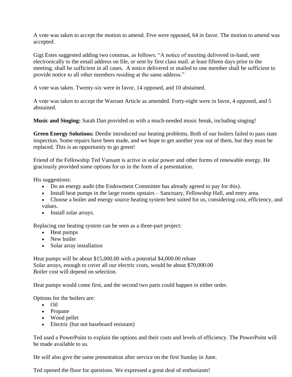A vote was taken to accept the motion to amend. Five were opposed, 64 in favor. The motion to amend was accepted.

Gigi Estes suggested adding two commas, as follows: "A notice of meeting delivered in-hand, sent electronically to the email address on file, or sent by first class mail, at least fifteen days prior to the meeting, shall be sufficient in all cases. A notice delivered or mailed to one member shall be sufficient to provide notice to all other members residing at the same address."

A vote was taken. Twenty-six were in favor, 14 opposed, and 10 abstained.

A vote was taken to accept the Warrant Article as amended. Forty-eight were in favor, 4 opposed, and 5 abstained.

**Music and Singing:** Sarah Dan provided us with a much-needed music break, including singing!

**Green Energy Solutions:** Deedie introduced our heating problems. Both of our boilers failed to pass state inspection. Some repairs have been made, and we hope to get another year out of them, but they must be replaced. This is an opportunity to go green!

Friend of the Fellowship Ted Vansant is active in solar power and other forms of renewable energy. He graciously provided some options for us in the form of a presentation.

His suggestions:

- Do an energy audit (the Endowment Committee has already agreed to pay for this).
- Install heat pumps in the large rooms upstairs Sanctuary, Fellowship Hall, and entry area.
- Choose a boiler and energy source heating system best suited for us, considering cost, efficiency, and values.
- Install solar arrays.

Replacing our heating system can be seen as a three-part project:

- Heat pumps
- New boiler
- Solar array installation

Heat pumps will be about \$15,000.00 with a potential \$4,000.00 rebate Solar arrays, enough to cover all our electric costs, would be about \$70,000.00 Boiler cost will depend on selection.

Heat pumps would come first, and the second two parts could happen in either order.

Options for the boilers are:

- Oil
- Propane
- Wood pellet
- Electric (but not baseboard resistant)

Ted used a PowerPoint to explain the options and their costs and levels of efficiency. The PowerPoint will be made available to us.

He will also give the same presentation after service on the first Sunday in June.

Ted opened the floor for questions. We expressed a great deal of enthusiasm!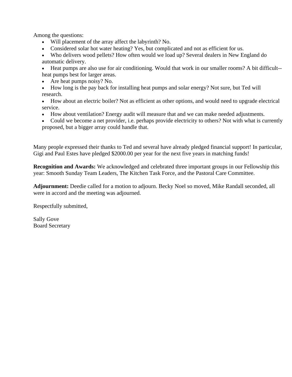Among the questions:

- Will placement of the array affect the labyrinth? No.
- Considered solar hot water heating? Yes, but complicated and not as efficient for us.

• Who delivers wood pellets? How often would we load up? Several dealers in New England do automatic delivery.

• Heat pumps are also use for air conditioning. Would that work in our smaller rooms? A bit difficult- heat pumps best for larger areas.

- Are heat pumps noisy? No.
- How long is the pay back for installing heat pumps and solar energy? Not sure, but Ted will research.

• How about an electric boiler? Not as efficient as other options, and would need to upgrade electrical service.

- How about ventilation? Energy audit will measure that and we can make needed adjustments.
- Could we become a net provider, i.e. perhaps provide electricity to others? Not with what is currently proposed, but a bigger array could handle that.

Many people expressed their thanks to Ted and several have already pledged financial support! In particular, Gigi and Paul Estes have pledged \$2000.00 per year for the next five years in matching funds!

**Recognition and Awards:** We acknowledged and celebrated three important groups in our Fellowship this year: Smooth Sunday Team Leaders, The Kitchen Task Force, and the Pastoral Care Committee.

**Adjournment:** Deedie called for a motion to adjourn. Becky Noel so moved, Mike Randall seconded, all were in accord and the meeting was adjourned.

Respectfully submitted,

Sally Gove Board Secretary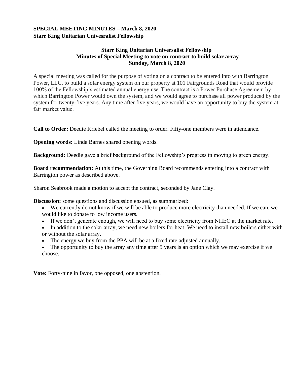#### <span id="page-14-0"></span>**SPECIAL MEETING MINUTES – March 8, 2020 Starr King Unitarian Univesralist Fellowship**

#### **Starr King Unitarian Universalist Fellowship   Minutes of Special Meeting to vote on contract to build solar array Sunday, March 8, 2020**

A special meeting was called for the purpose of voting on a contract to be entered into with Barrington Power, LLC, to build a solar energy system on our property at 101 Fairgrounds Road that would provide 100% of the Fellowship's estimated annual energy use. The contract is a Power Purchase Agreement by which Barrington Power would own the system, and we would agree to purchase all power produced by the system for twenty-five years. Any time after five years, we would have an opportunity to buy the system at fair market value. 

**Call to Order:** Deedie Kriebel called the meeting to order. Fifty-one members were in attendance.

**Opening words:** Linda Barnes shared opening words.

**Background:** Deedie gave a brief background of the Fellowship's progress in moving to green energy.

**Board recommendation:** At this time, the Governing Board recommends entering into a contract with Barrington power as described above.

Sharon Seabrook made a motion to accept the contract, seconded by Jane Clay.

**Discussion:** some questions and discussion ensued, as summarized:

- We currently do not know if we will be able to produce more electricity than needed. If we can, we would like to donate to low income users.
- If we don't generate enough, we will need to buy some electricity from NHEC at the market rate.
- In addition to the solar array, we need new boilers for heat. We need to install new boilers either with or without the solar array.
- The energy we buy from the PPA will be at a fixed rate adjusted annually.

• The opportunity to buy the array any time after 5 years is an option which we may exercise if we choose.

**Vote:** Forty-nine in favor, one opposed, one abstention.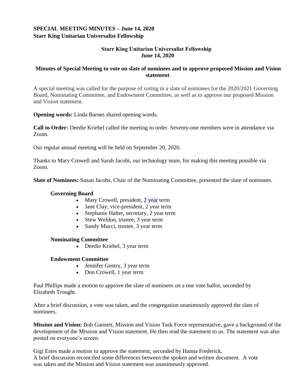#### <span id="page-15-0"></span>**SPECIAL MEETING MINUTES – June 14, 2020 Starr King Unitarian Universalist Fellowship**

#### **Starr King Unitarian Universalist Fellowship   June 14, 2020**

#### **Minutes of Special Meeting to vote on slate of nominees and to approve proposed Mission and Vision statement**

A special meeting was called for the purpose of voting in a slate of nominees for the 2020/2021 Governing Board, Nominating Committee, and Endowment Committee, as well as to approve our proposed Mission and Vision statement.

**Opening words:** Linda Barnes shared opening words.

**Call to Order:** Deedie Kriebel called the meeting to order. Seventy-one members were in attendance via Zoom.

Our regular annual meeting will be held on September 20, 2020.

Thanks to Mary Crowell and Sarah Jacobi, our technology team, for making this meeting possible via Zoom.

**Slate of Nominees:** Susan Jacobs, Chair of the Nominating Committee, presented the slate of nominees.

#### **Governing Board**

- Mary Crowell, president, 2 year term
- Jane Clay, vice-president, 2 year term
- Stephanie Halter, secretary, 2 year term
- Stew Weldon, trustee, 3 year term
- Sandy Mucci, trustee, 3 year term

#### **Nominating Committee**

• Deedie Kriebel, 3 year term

#### **Endowment Committee**

- Jennifer Gentry, 3 year term
- Don Crowell, 1 year term

Paul Phillips made a motion to approve the slate of nominees on a one vote ballot, seconded by Elizabeth Trought.

After a brief discussion, a vote was taken, and the congregation unanimously approved the slate of nominees.

**Mission and Vision:** Bob Gannett, Mission and Vision Task Force representative, gave a background of the development of the Mission and Vision statement. He then read the statement to us. The statement was also posted on everyone's screen.

Gigi Estes made a motion to approve the statement, seconded by Hanna Frederick. A brief discussion reconciled some differences between the spoken and written document. A vote was taken and the Mission and Vision statement was unanimously approved.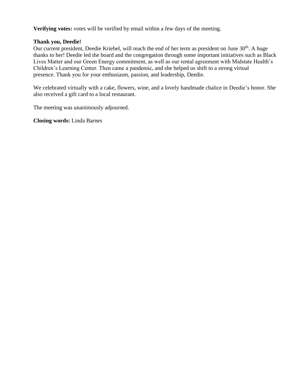**Verifying votes:** votes will be verified by email within a few days of the meeting.

#### **Thank you, Deedie!**

Our current president, Deedie Kriebel, will reach the end of her term as president on June 30<sup>th</sup>. A huge thanks to her! Deedie led the board and the congregation through some important initiatives such as Black Lives Matter and our Green Energy commitment, as well as our rental agreement with Midstate Health's Children's Learning Center. Then came a pandemic, and she helped us shift to a strong virtual presence. Thank you for your enthusiasm, passion, and leadership, Deedie.

We celebrated virtually with a cake, flowers, wine, and a lovely handmade chalice in Deedie's honor. She also received a gift card to a local restaurant.

The meeting was unanimously adjourned.

**Closing words:** Linda Barnes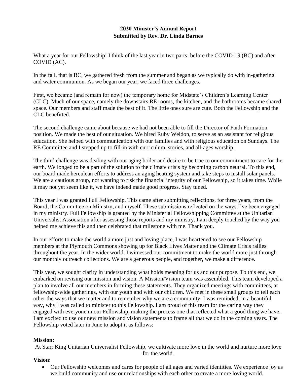#### **2020 Minister's Annual Report Submitted by Rev. Dr. Linda Barnes**

<span id="page-17-0"></span>What a year for our Fellowship! I think of the last year in two parts: before the COVID-19 (BC) and after COVID (AC).

In the fall, that is BC, we gathered fresh from the summer and began as we typically do with in-gathering and water communion. As we began our year, we faced three challenges.

First, we became (and remain for now) the temporary home for Midstate's Children's Learning Center (CLC). Much of our space, namely the downstairs RE rooms, the kitchen, and the bathrooms became shared space. Our members and staff made the best of it. The little ones sure are cute. Both the Fellowship and the CLC benefitted.

The second challenge came about because we had not been able to fill the Director of Faith Formation position. We made the best of our situation. We hired Ruby Weldon, to serve as an assistant for religious education. She helped with communication with our families and with religious education on Sundays. The RE Committee and I stepped up to fill-in with curriculum, stories, and all-ages worship.

The third challenge was dealing with our aging boiler and desire to be true to our commitment to care for the earth. We longed to be a part of the solution to the climate crisis by becoming carbon neutral. To this end, our board made herculean efforts to address an aging heating system and take steps to install solar panels. We are a cautious group, not wanting to risk the financial integrity of our Fellowship, so it takes time. While it may not yet seem like it, we have indeed made good progress. Stay tuned.

This year I was granted Full Fellowship. This came after submitting reflections, for three years, from the Board, the Committee on Ministry, and myself. These submissions reflected on the ways I've been engaged in my ministry. Full Fellowship is granted by the Ministerial Fellowshipping Committee at the Unitarian Universalist Association after assessing those reports and my ministry. I am deeply touched by the way you helped me achieve this and then celebrated that milestone with me. Thank you.

In our efforts to make the world a more just and loving place, I was heartened to see our Fellowship members at the Plymouth Commons showing up for Black Lives Matter and the Climate Crisis rallies throughout the year. In the wider world, I witnessed our commitment to make the world more just through our monthly outreach collections. We are a generous people, and together, we make a difference.

This year, we sought clarity in understanding what holds meaning for us and our purpose. To this end, we embarked on revising our mission and vision. A Mission/Vision team was assembled. This team developed a plan to involve all our members in forming these statements. They organized meetings with committees, at fellowship-wide gatherings, with our youth and with our children. We met in these small groups to tell each other the ways that we matter and to remember why we are a community. I was reminded, in a beautiful way, why I was called to minister to this Fellowship. I am proud of this team for the caring way they engaged with everyone in our Fellowship, making the process one that reflected what a good thing we have. I am excited to use our new mission and vision statements to frame all that we do in the coming years. The Fellowship voted later in June to adopt it as follows:

#### **Mission:**

At Starr King Unitarian Universalist Fellowship, we cultivate more love in the world and nurture more love for the world.

#### **Vision:**

• Our Fellowship welcomes and cares for people of all ages and varied identities. We experience joy as we build community and use our relationships with each other to create a more loving world.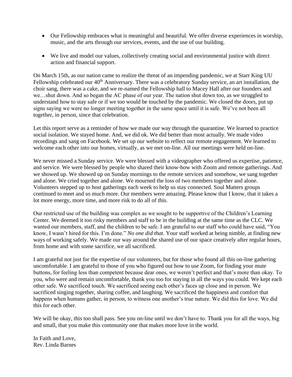- Our Fellowship embraces what is meaningful and beautiful. We offer diverse experiences in worship, music, and the arts through our services, events, and the use of our building.
- We live and model our values, collectively creating social and environmental justice with direct action and financial support.

On March 15th, as our nation came to realize the threat of an impending pandemic, we at Starr King UU Fellowship celebrated our 40<sup>th</sup> Anniversary. There was a celebratory Sunday service, an art installation, the choir sang, there was a cake, and we re-named the Fellowship hall to Macey Hall after our founders and we…shut down. And so began the AC phase of our year. The nation shut down too, as we struggled to understand how to stay safe or if we too would be touched by the pandemic. We closed the doors, put up signs saying we were no longer meeting together in the same space until it is safe. We've not been all together, in person, since that celebration.

Let this report serve as a reminder of how we made our way through the quarantine. We learned to practice social isolation. We stayed home. And, we did ok. We did better than most actually. We made video recordings and sang on Facebook. We set up our website to reflect our remote engagement. We learned to welcome each other into our homes, virtually, as we met on-line. All our meetings were held on-line.

We never missed a Sunday service. We were blessed with a videographer who offered us expertise, patience, and service. We were blessed by people who shared their know-how with Zoom and remote gatherings. And we showed up. We showed up on Sunday mornings to the remote services and somehow, we sang together and alone. We cried together and alone. We mourned the loss of two members together and alone. Volunteers stepped up to host gatherings each week to help us stay connected. Soul Matters groups continued to meet and so much more. Our members were amazing. Please know that I know, that it takes a lot more energy, more time, and more risk to do all of this.

Our restricted use of the building was complex as we sought to be supportive of the Children's Learning Center. We deemed it too risky members and staff to be in the building at the same time as the CLC. We wanted our members, staff, and the children to be safe. I am grateful to our staff who could have said, "You know, I wasn't hired for this. I'm done." *No one did that*. Your staff worked at being nimble, at finding new ways of working safely. We made our way around the shared use of our space creatively after regular hours, from home and with some sacrifice, we all sacrificed.

I am grateful not just for the expertise of our volunteers, but for those who found all this on-line gathering uncomfortable. I am grateful to those of you who figured out how to use Zoom, for finding your mute buttons, for feeling less than competent because dear ones, we weren't perfect and that's more than okay. To you, who were and remain uncomfortable, thank you too for staying in all the ways you could. We kept each other safe. We sacrificed touch. We sacrificed seeing each other's faces up close and in person. We sacrificed singing together, sharing coffee, and laughing. We sacrificed the happiness and comfort that happens when humans gather, in person, to witness one another's true nature. We did this for love. We did this for each other.

We will be okay, this too shall pass. See you on-line until we don't have to. Thank you for all the ways, big and small, that you make this community one that makes more love in the world.

In Faith and Love, Rev. Linda Barnes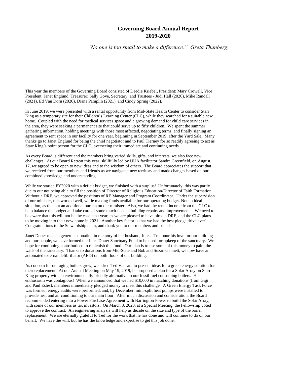#### **Governing Board Annual Report 2019-2020**

<span id="page-19-0"></span>*"No one is too small to make a difference." Greta Thunberg.*

This year the members of the Governing Board consisted of Deedie Kriebel, President; Mary Crowell, Vice President; Janet Englund, Treasurer; Sally Gove, Secretary; and Trustees - Judi Hall (2020), Mike Randall (2021), Ed Van Dorn (2020), Diana Pamplin (2021), and Cindy Spring (2022).

In June 2019, we were presented with a rental opportunity from Mid-State Health Center to consider Starr King as a temporary site for their Children's Learning Center (CLC), while they searched for a suitable new home. Coupled with the need for medical services space and a growing demand for child care services in the area, they were seeking a permanent site that could serve up to fifty children. We spent the summer gathering information, holding meetings with those most affected, negotiating terms, and finally signing an agreement to rent space in our facility for one year, beginning in September 2019, after the Yard Sale. Many thanks go to Janet Englund for being the chief negotiator and to Paul Tierney for so readily agreeing to act as Starr King's point person for the CLC, overseeing their immediate and continuing needs.

As every Board is different and the members bring varied skills, gifts, and interests, we also face new challenges. At our Board Retreat this year, skillfully led by UUA facilitator Sandra Greenfield, on August 17, we agreed to be open to new ideas and to the wisdom of others. The Board appreciates the support that we received from our members and friends as we navigated new territory and made changes based on our combined knowledge and understanding.

While we started FY2020 with a deficit budget, we finished with a surplus! Unfortunately, this was partly due to our not being able to fill the position of Director of Religious Education/Director of Faith Formation. Without a DRE, we approved the positions of RE Manager and Program Coordinator. Under the supervision of our minister, this worked well, while making funds available for our operating budget. Not an ideal situation, as this put an additional burden on our minister. Also, we had the rental income from the CLC to help balance the budget and take care of some much-needed building repairs and improvements. We need to be aware that this will not be the case next year, as we are pleased to have hired a DRE, and the CLC plans to be moving into their new home in 2021. Another key factor is that we had the best pledge drive ever! Congratulations to the Stewardship team, and thank you to our members and friends.

Janet Doner made a generous donation in memory of her husband, Jules. To honor his love for our building and our people, we have formed the Jules Doner Sanctuary Fund to be used for upkeep of the sanctuary. We hope for continuing contributions to replenish this fund. Our plan is to use some of this money to paint the walls of the sanctuary. Thanks to donations from Mid-State and Bob and Suzan Gannett, we now have an automated external defibrillator (AED) on both floors of our building.

As concern for our aging boilers grew, we asked Ted Vansant to present ideas for a green energy solution for their replacement. At our Annual Meeting on May 19, 2019, he proposed a plan for a Solar Array on Starr King property with an environmentally friendly alternative to our fossil fuel consuming boilers. His enthusiasm was contagious! When we announced that we had \$10,000 in matching donations (from Gigi and Paul Estes), members immediately pledged money to meet this challenge. A Green Energy Task Force was formed, energy audits were performed, and, by December, mini-split heat pumps were installed to provide heat and air conditioning to our main floor. After much discussion and consideration, the Board recommended entering into a Power Purchase Agreement with Barrington Power to build the Solar Array, with some of our members as tax investors. On March 8, 2020, at a Special Meeting, the Fellowship voted to approve the contract. An engineering analysis will help us decide on the size and type of the boiler replacement. We are eternally grateful to Ted for the work that he has done and will continue to do on our behalf. We have the will, but he has the knowledge and expertise to get this job done.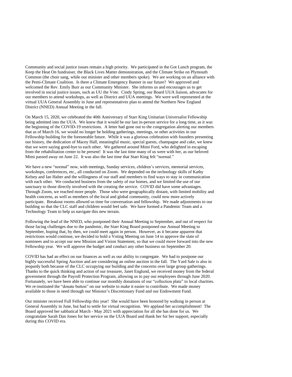Community and social justice issues remain a high priority. We participated in the Got Lunch program, the Keep the Heat On fundraiser, the Black Lives Matter demonstration, and the Climate Strike on Plymouth Common (the choir sang, while our minister and other members spoke). We are working on an alliance with the Pemi-Climate Coalition. Is there a Climate Emergency Banner in our future? We approved and welcomed the Rev. Emily Burr as our Community Minister. She informs us and encourages us to get involved in social justice issues, such as UU the Vote. Cindy Spring, our Board UUA liaison, advocates for our members to attend workshops, as well as District and UUA meetings. We were well represented at the virtual UUA General Assembly in June and representatives plan to attend the Northern New England District (NNED) Annual Meeting in the fall.

On March 15, 2020, we celebrated the 40th Anniversary of Starr King Unitarian Universalist Fellowship being admitted into the UUA. We knew that it would be our last in-person service for a long time, as it was the beginning of the COVID-19 restrictions. A letter had gone out to the congregation alerting our members that as of March 16, we would no longer be holding gatherings, meetings, or other activities in our Fellowship building for the foreseeable future. While it was a glorious celebration with founders presenting our history, the dedication of Macey Hall, meaningful music, special guests, champagne and cake, we knew that we were saying good-bye to each other. We gathered around Mimi Ford, who delighted in escaping from the rehabilitation center to be present! It was the last time many of us were with her, as our beloved Mimi passed away on June 22. It was also the last time that Starr King felt "normal."

We have a new "normal" now, with meetings, Sunday services, children's services, memorial services, workshops, conferences, etc., all conducted on Zoom. We depended on the technology skills of Kathy Kelsey and Ian Halter and the willingness of our staff and members to find ways to stay in communication with each other. We conducted business from the safety of our homes, and we limited the use of our sanctuary to those directly involved with the creating the service. COVID did have some advantages. Through Zoom, we reached more people. Those who were geographically distant, with limited mobility and health concerns, as well as members of the local and global community, could now more actively participate. Breakout rooms allowed us time for conversation and fellowship. We made adjustments to our building so that the CLC staff and children would feel safe. We have formed a Pandemic Team and a Technology Team to help us navigate this new terrain.

Following the lead of the NNED, who postponed their Annual Meeting to September, and out of respect for those facing challenges due to the pandemic, the Starr King Board postponed our Annual Meeting to September, hoping that, by then, we could meet again in person. However, as it became apparent that restrictions would continue, we decided to hold a Voting Meeting on June 14 to approve the slate of nominees and to accept our new Mission and Vision Statement, so that we could move forward into the new Fellowship year. We will approve the budget and conduct any other business on September 20.

COVID has had an effect on our finances as well as our ability to congregate. We had to postpone our highly successful Spring Auction and are considering an online auction in the fall. The Yard Sale is also in jeopardy both because of the CLC occupying our building and the concerns over large group gatherings. Thanks to the quick thinking and action of our treasurer, Janet Englund, we received money from the federal government through the Payroll Protection Program, allowing us to pay our employees through June 2020. Fortunately, we have been able to continue our monthly donations of our "collection plate" to local charities. We re-instituted the "donate button" on our website to make it easier to contribute. We made money available to those in need through our Minister's Discretionary Fund and our Endowment Fund.

Our minister received Full Fellowship this year! She would have been honored by walking in person at General Assembly in June, but had to settle for virtual recognition. We applaud her accomplishment! The Board approved her sabbatical March - May 2021 with appreciation for all she has done for us. We congratulate Sarah Dan Jones for her service on the UUA Board and thank her for her support, especially during this COVID era.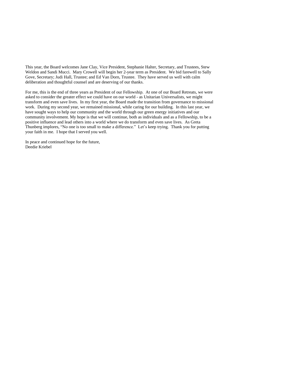This year, the Board welcomes Jane Clay, Vice President, Stephanie Halter, Secretary, and Trustees, Stew Weldon and Sandi Mucci. Mary Crowell will begin her 2-year term as President. We bid farewell to Sally Gove, Secretary; Judi Hall, Trustee; and Ed Van Dorn, Trustee. They have served us well with calm deliberation and thoughtful counsel and are deserving of our thanks.

For me, this is the end of three years as President of our Fellowship. At one of our Board Retreats, we were asked to consider the greater effect we could have on our world - as Unitarian Universalists, we might transform and even save lives. In my first year, the Board made the transition from governance to missional work. During my second year, we remained missional, while caring for our building. In this last year, we have sought ways to help our community and the world through our green energy initiatives and our community involvement. My hope is that we will continue, both as individuals and as a Fellowship, to be a positive influence and lead others into a world where we do transform and even save lives. As Greta Thunberg implores, "No one is too small to make a difference." Let's keep trying. Thank you for putting your faith in me. I hope that I served you well.

In peace and continued hope for the future, Deedie Kriebel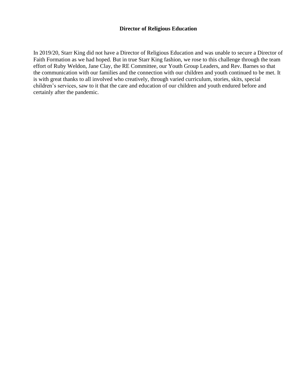#### **Director of Religious Education**

<span id="page-22-0"></span>In 2019/20, Starr King did not have a Director of Religious Education and was unable to secure a Director of Faith Formation as we had hoped. But in true Starr King fashion, we rose to this challenge through the team effort of Ruby Weldon, Jane Clay, the RE Committee, our Youth Group Leaders, and Rev. Barnes so that the communication with our families and the connection with our children and youth continued to be met. It is with great thanks to all involved who creatively, through varied curriculum, stories, skits, special children's services, saw to it that the care and education of our children and youth endured before and certainly after the pandemic.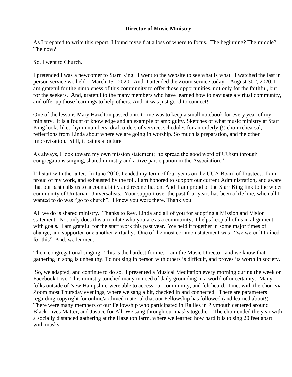#### **Director of Music Ministry**

<span id="page-23-0"></span>As I prepared to write this report, I found myself at a loss of where to focus. The beginning? The middle? The now?

So, I went to Church.

I pretended I was a newcomer to Starr King. I went to the website to see what is what. I watched the last in person service we held – March 15<sup>th</sup> 2020. And, I attended the Zoom service today – August 30<sup>th</sup>, 2020. I am grateful for the nimbleness of this community to offer those opportunities, not only for the faithful, but for the seekers. And, grateful to the many members who have learned how to navigate a virtual community, and offer up those learnings to help others. And, it was just good to connect!

One of the lessons Mary Hazelton passed onto to me was to keep a small notebook for every year of my ministry. It is a fount of knowledge and an example of ambiguity. Sketches of what music ministry at Starr King looks like: hymn numbers, draft orders of service, schedules for an orderly (!) choir rehearsal, reflections from Linda about where we are going in worship. So much is preparation, and the other improvisation. Still, it paints a picture.

As always, I look toward my own mission statement; "to spread the good word of UUism through congregations singing, shared ministry and active participation in the Association."

I'll start with the latter. In June 2020, I ended my term of four years on the UUA Board of Trustees. I am proud of my work, and exhausted by the toll. I am honored to support our current Administration, and aware that our past calls us to accountability and reconciliation. And I am proud of the Starr King link to the wider community of Unitarian Universalists. Your support over the past four years has been a life line, when all I wanted to do was "go to church". I knew you were there. Thank you.

All we do is shared ministry. Thanks to Rev. Linda and all of you for adopting a Mission and Vision statement. Not only does this articulate who you are as a community, it helps keep all of us in alignment with goals. I am grateful for the staff work this past year. We held it together in some major times of change, and supported one another virtually. One of the most common statement was , "we weren't trained for this". And, we learned.

Then, congregational singing. This is the hardest for me. I am the Music Director, and we know that gathering in song is unhealthy. To not sing in person with others is difficult, and proves its worth in society.

So, we adapted, and continue to do so. I presented a Musical Meditation every morning during the week on Facebook Live. This ministry touched many in need of daily grounding in a world of uncertainty. Many folks outside of New Hampshire were able to access our community, and felt heard. I met with the choir via Zoom most Thursday evenings, where we sang a bit, checked in and connected. There are parameters regarding copyright for online/archived material that our Fellowship has followed (and learned about!). There were many members of our Fellowship who participated in Rallies in Plymouth centered around Black Lives Matter, and Justice for All. We sang through our masks together. The choir ended the year with a socially distanced gathering at the Hazelton farm, where we learned how hard it is to sing 20 feet apart with masks.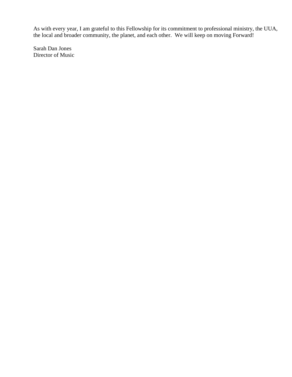As with every year, I am grateful to this Fellowship for its commitment to professional ministry, the UUA, the local and broader community, the planet, and each other. We will keep on moving Forward!

Sarah Dan Jones Director of Music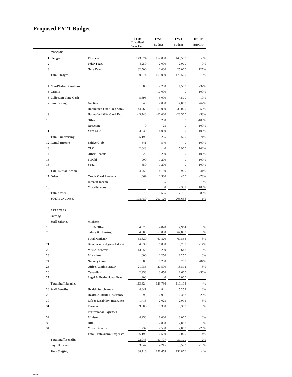# <span id="page-25-0"></span>**Proposed FY21 Budget**

|                                |                                                   | <b>FY20</b><br>Unaudited<br><b>Year End</b> | <b>FY20</b><br><b>Budget</b> | <b>FY21</b><br><b>Budget</b> | INCR/<br>(DECR) |
|--------------------------------|---------------------------------------------------|---------------------------------------------|------------------------------|------------------------------|-----------------|
| <b>INCOME</b>                  |                                                   |                                             |                              |                              |                 |
| 1 Pledges                      | <b>This Year</b>                                  | 143,624                                     | 152,000                      | 143,500                      | -6%             |
| $\overline{2}$                 | <b>Prior Years</b>                                | 4,250                                       | 2,000                        | 2,000                        | 0%              |
| 3                              | <b>Next Year</b>                                  | 32,500                                      | 11,000                       | 25,000                       | 127%            |
| <b>Total Pledges</b>           |                                                   | 180,374                                     | 165,000                      | 170,500                      | 3%              |
| <b>4 Non-Pledge Donations</b>  |                                                   | 1,380                                       | 2,200                        | 1,500                        | $-32%$          |
| 5 Grants                       |                                                   |                                             | 10,000                       | $\mathbf{0}$                 | $-100%$         |
| <b>6 Collection Plate Cash</b> |                                                   | 5,395                                       | 5,000                        | 4,500                        | $-10%$          |
| 7 Fundraising                  | <b>Auction</b>                                    | 540                                         | 12,000                       | 4,000                        | $-67%$          |
| 8                              | <b>Hannaford Gift Card Sales</b>                  | 44,762                                      | 63,000                       | 30,000                       | $-52%$          |
| 9                              | <b>Hannaford Gift Card Exp</b>                    | $-43,748$                                   | $-60,000$                    | $-28,500$                    | $-53%$          |
| 10                             | Other                                             | $\boldsymbol{0}$                            | 200                          | $\mathbf{0}$                 | $-100%$         |
|                                | Recycling                                         | $\overline{0}$                              | 25                           | $\overline{0}$               | $-100%$         |
| 11                             | <b>Yard Sale</b>                                  | 3,639                                       | 4,000                        | $\mathbf{0}$                 | $-100%$         |
| <b>Total Fundraising</b>       |                                                   | 5,193                                       | 19,225                       | 5,500                        | $-71%$          |
| 12 Rental Income               | <b>Bridge Club</b>                                | 341                                         | 540                          | $\mathbf{0}$                 | $-100%$         |
| 13                             | <b>CLC</b>                                        | 2,643                                       | $\mathbf{0}$                 | 5,900                        | 100%            |
| 14                             | <b>Other Rentals</b>                              | 225                                         | 1,250                        | $\mathbf{0}$                 | $-100%$         |
| 15                             | TaiChi                                            | 900                                         | 1,200                        | $\overline{0}$               | $-100%$         |
| 16                             | Yoga                                              | 650                                         | 1,200                        | $\boldsymbol{0}$             | $-100%$         |
| <b>Total Rental Income</b>     |                                                   | 4,759                                       | 4,190                        | 5,900                        | 41%             |
| 17 Other                       | <b>Credit Card Rewards</b>                        | 1,669                                       | 1,500                        | 400                          | $-73%$          |
|                                | <b>Interest Income</b>                            | 10                                          | 5                            | 5                            | 0%              |
| 18                             | <b>Miscellaneous</b>                              | $\boldsymbol{0}$                            | $\mathbf{0}$                 | 17,351                       | 100%            |
| <b>Total Other</b>             |                                                   | 1,679                                       | 1,505                        | 17,756                       | 1,080%          |
| <b>TOTAL INCOME</b>            |                                                   | 198,780                                     | 207,120                      | 205,656                      | $-1\%$          |
| <b>EXPENSES</b>                |                                                   |                                             |                              |                              |                 |
| <b>Staffing</b>                |                                                   |                                             |                              |                              |                 |
| <b>Staff Salaries</b>          | <b>Minister</b>                                   |                                             |                              |                              |                 |
| 19<br>20                       | <b>SECA Offset</b>                                | 4,820                                       | 4,820                        | 4,964<br>64,890              | 3%              |
|                                | Salary & Housing                                  | 64,000                                      | 63,000                       |                              | 3%              |
|                                | <b>Total Minister</b>                             | 68,820                                      | 67,820                       | 69,854                       | 3%              |
| 21                             | <b>Director of Religious Educat</b>               | 4,835                                       | 16,000                       | 13,750                       | $-14%$          |
| 22                             | <b>Music Director</b>                             | 13,550                                      | 13,250                       | 13,648                       | 3%              |
| 23                             | <b>Musicians</b>                                  | 1,000                                       | 1,250                        | 1,250                        | 0%              |
| 24                             | <b>Nursery Care</b>                               | 1,080                                       | 1,260                        | 200                          | $-84%$          |
| 25                             | <b>Office Administrator</b>                       | 21,086                                      | 20,500                       | 18,892                       | $-8%$           |
| 26<br>27                       | Custodian<br><b>Legal &amp; Professional Fees</b> | 2,953                                       | 3,656<br>$\mathbf{0}$        | 1,600<br>5,000               | $-56%$          |
|                                |                                                   | 1,208                                       |                              |                              |                 |
| <b>Total Staff Salaries</b>    |                                                   | 113,324                                     | 123,736                      | 119,194                      | $-4%$           |
| <b>28 Staff Benefits</b>       | <b>Health Supplement</b>                          | 4,841                                       | 4,841                        | 5,252                        | 8%              |
| 29                             | Health & Dental Insurance                         | 295                                         | 2,991                        | 2,382                        | $-20%$          |
| 30                             | Life & Disability Insurance                       | 1,713                                       | 2,025                        | 2,095                        | 3%              |
| 31                             | Pension                                           | 9,006                                       | 8,350                        | 8,380                        | 0%              |
|                                | <b>Professional Expenses</b>                      |                                             |                              |                              |                 |
| 32                             | <b>Minister</b>                                   | 4,958                                       | 8,000                        | 8,000                        | 0%              |
| 33                             | <b>DRE</b>                                        | $\boldsymbol{0}$                            | 2,000                        | 2,000                        | 0%              |
| 34                             | <b>Music Director</b>                             | 1,232                                       | 2,500                        | 2,000                        | $-20%$          |
|                                | <b>Total Professional Expenses</b>                | 6,190                                       | 12,500                       | 12,000                       | $-4%$           |
| <b>Total Staff Benefits</b>    |                                                   | 22,045                                      | 30,707                       | 30,109                       | $-2%$           |
| <b>Payroll Taxes</b>           |                                                   | 3,347                                       | 4,215                        | 3,573                        | $-15%$          |
| <b>Total Staffing</b>          |                                                   | 138,716                                     | 158,658                      | 152,876                      | $-4%$           |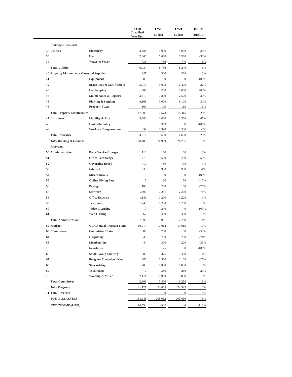|                                     |                                                   | <b>FY20</b><br>Unaudited | <b>FY20</b>      | <b>FY21</b>      | INCR/     |
|-------------------------------------|---------------------------------------------------|--------------------------|------------------|------------------|-----------|
|                                     |                                                   | <b>Year End</b>          | <b>Budget</b>    | <b>Budget</b>    | (DECR)    |
| <b>Building &amp; Grounds</b>       |                                                   |                          |                  |                  |           |
| 37 Utilities                        | Electricity                                       | 3,888                    | 3,000            | 4,000            | 33%       |
| 38                                  | Heat                                              | 2,360                    | 5,000            | 3,500            | $-30%$    |
| 39                                  | Water & Sewer                                     | 736                      | 736              | 740              | 1%        |
| <b>Total Utilities</b>              |                                                   | 6,984                    | 8,736            | 8,240            | $-6%$     |
|                                     | <b>40 Property Maintenance Custodial Supplies</b> | 347                      | 300              | 300              | 0%        |
| 41                                  | Equipment                                         | 209                      | 100              | $\mathbf{0}$     | $-100%$   |
| 42                                  | <b>Inspections &amp; Certifications</b>           | 3,013                    | 3,073            | 2,400            | $-22%$    |
| 43                                  | Landscaping                                       | 904                      | 200              | 1,000            | 400%      |
| 44                                  | Maintenance & Repairs                             | 3,519                    | 1,800            | 2,500            | 39%       |
| 45                                  | Plowing & Sanding                                 | 9,108                    | 7,000            | 9,100            | 30%       |
| 46                                  | <b>Property Taxes</b>                             | 109                      | 100              | 115              | 15%       |
| <b>Total Property Maintenance</b>   |                                                   | 17,209                   | 12,573           | 15,415           | 23%       |
| 47 Insurance                        | Liability & Fire                                  | 3,282                    | 2,000            | 3,300            | 65%       |
| 48                                  | <b>Umbrella Policy</b>                            |                          | 350              | $\boldsymbol{0}$ | $-100%$   |
| 49                                  | <b>Workers Compensation</b>                       | 934                      | 1,340            | 1,300            | $-3%$     |
| <b>Total Insurance</b>              |                                                   | 4,216                    | 3,690            | 4,600            | 25%       |
| <b>Total Building &amp; Grounds</b> |                                                   | 28,409                   | 24,999           | 28,255           | 13%       |
| Programs                            |                                                   |                          |                  |                  |           |
| 50 Admininstration                  | <b>Bank Service Charges</b>                       | 118                      | 100              | 100              | 0%        |
| 51                                  | <b>Office Technology</b>                          | 479                      | 500              | 250              | $-50%$    |
| 52                                  | <b>Governing Board</b>                            | 710                      | 750              | 700              | $-7%$     |
| 53                                  | Internet                                          | 935                      | 960              | 950              | $-1%$     |
| 54                                  | <b>Miscellaneous</b>                              | $\mathbf{0}$             | 50               | $\boldsymbol{0}$ | $-100%$   |
| 55                                  | <b>Online Giving Fees</b>                         | 17                       | 60               | 50               | $-17%$    |
| 56                                  | Postage                                           | 169                      | 200              | 150              | $-25%$    |
| 57                                  | Software                                          | 1,809                    | 1,251            | 2,200            | 76%       |
| 58                                  | <b>Office Expense</b>                             | 1,146                    | 1,200            | 1,200            | 0%        |
| 59                                  | <b>Telephone</b>                                  | 1,248                    | 1,260            | 1,260            | 0%        |
| 60                                  | <b>Video Licensing</b>                            | $\mathbf{0}$             | 240              | $\boldsymbol{0}$ | $-100%$   |
| 61                                  | <b>Web Hosting</b>                                | 667                      | 420              | 400              | $-5%$     |
| <b>Total Administration</b>         |                                                   | 7,298                    | 6,991            | 7,260            | 4%        |
| 62 Ministry                         | <b>UUA Annual Program Fund</b>                    | 10,014                   | 10,014           | 11,015           | 10%       |
| 63 Committees                       | <b>Committee Chairs</b>                           | 80                       | 200              | 100              | $-50%$    |
| 64                                  | Hospitality                                       | 640                      | 700              | 200              | $-71%$    |
| 65                                  | Membership                                        | 44                       | 300              | 200              | $-33%$    |
|                                     | Newsletter                                        | $\boldsymbol{0}$         | 75               | $\boldsymbol{0}$ | $-100%$   |
| 66                                  | <b>Small Group Ministry</b>                       | 385                      | 375              | 400              | 7%        |
| 67                                  | <b>Religious Education - Youth</b>                | 286                      | 1,500            | 1,100            | $-27%$    |
| 68                                  | Stewardship                                       | 203                      | 1,000            | 1,000            | 0%        |
| 69                                  | <b>Technology</b>                                 | $\boldsymbol{0}$         | 350              | 250              | $-29%$    |
| 70                                  | <b>Worship &amp; Music</b>                        | 2,171                    | 2,900            | 3,000            | 3%        |
| <b>Total Committees</b>             |                                                   | 3,809                    | 7,400            | 6,250            | $-16%$    |
| <b>Total Programs</b>               |                                                   | 21,121                   | 24,405           | 24,525           | 0%        |
| <b>71 Total Reserves</b>            |                                                   | $\boldsymbol{0}$         | $\boldsymbol{0}$ | $\overline{0}$   | 0%        |
| <b>TOTAL EXPENSES</b>               |                                                   | 188,246                  | 208,062          | 205,656          | $-1\%$    |
| <b>NET INCOME/(LOSS)</b>            |                                                   | 10,534                   | $-942$           | $-0$             | $-1,118%$ |
|                                     |                                                   |                          |                  |                  |           |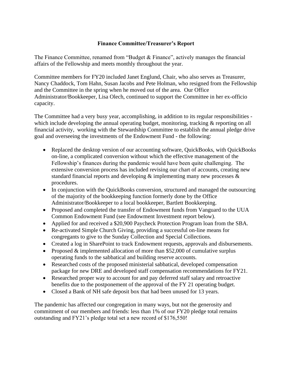#### **Finance Committee/Treasurer's Report**

<span id="page-27-0"></span>The Finance Committee, renamed from "Budget & Finance", actively manages the financial affairs of the Fellowship and meets monthly throughout the year.

Committee members for FY20 included Janet Englund, Chair, who also serves as Treasurer, Nancy Chaddock, Tom Hahn, Susan Jacobs and Pete Holman, who resigned from the Fellowship and the Committee in the spring when he moved out of the area. Our Office Administrator/Bookkeeper, Lisa Olech, continued to support the Committee in her ex-officio capacity.

The Committee had a very busy year, accomplishing, in addition to its regular responsibilities which include developing the annual operating budget, monitoring, tracking & reporting on all financial activity, working with the Stewardship Committee to establish the annual pledge drive goal and overseeing the investments of the Endowment Fund - the following:

- Replaced the desktop version of our accounting software, QuickBooks, with QuickBooks on-line, a complicated conversion without which the effective management of the Fellowship's finances during the pandemic would have been quite challenging. The extensive conversion process has included revising our chart of accounts, creating new standard financial reports and developing & implementing many new processes & procedures.
- In conjunction with the QuickBooks conversion, structured and managed the outsourcing of the majority of the bookkeeping function formerly done by the Office Administrator/Bookkeeper to a local bookkeeper, Bartlett Bookkeeping.
- Proposed and completed the transfer of Endowment funds from Vanguard to the UUA Common Endowment Fund (see Endowment Investment report below).
- Applied for and received a \$20,900 Paycheck Protection Program loan from the SBA.
- Re-activated Simple Church Giving, providing a successful on-line means for congregants to give to the Sunday Collection and Special Collections.
- Created a log in SharePoint to track Endowment requests, approvals and disbursements.
- Proposed  $&$  implemented allocation of more than \$52,000 of cumulative surplus operating funds to the sabbatical and building reserve accounts.
- Researched costs of the proposed ministerial sabbatical, developed compensation package for new DRE and developed staff compensation recommendations for FY21.
- Researched proper way to account for and pay deferred staff salary and retroactive benefits due to the postponement of the approval of the FY 21 operating budget.
- Closed a Bank of NH safe deposit box that had been unused for 13 years.

The pandemic has affected our congregation in many ways, but not the generosity and commitment of our members and friends: less than 1% of our FY20 pledge total remains outstanding and FY21's pledge total set a new record of \$176,550!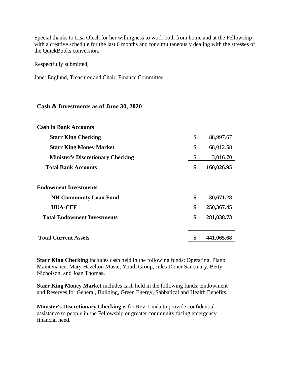Special thanks to Lisa Olech for her willingness to work both from home and at the Fellowship with a creative schedule for the last 6 months and for simultaneously dealing with the stresses of the QuickBooks conversion.

Respectfully submitted,

Janet Englund, Treasurer and Chair, Finance Committee

#### <span id="page-28-0"></span>**Cash & Investments as of June 30, 2020**

| \$<br>88,997.67  |
|------------------|
| \$<br>68,012.58  |
| \$<br>3,016.70   |
| \$<br>160,026.95 |
|                  |
| \$<br>30,671.28  |
| \$<br>250,367.45 |
| \$<br>281,038.73 |
| 441,065.68       |
|                  |

**Starr King Checking** includes cash held in the following funds: Operating, Piano Maintenance, Mary Hazelton Music, Youth Group, Jules Doner Sanctuary, Betty Nicholson, and Joan Thomas**.**

**Starr King Money Market** includes cash held in the following funds: Endowment and Reserves for General, Building, Green Energy, Sabbatical and Health Benefits.

**Minister's Discretionary Checking** is for Rev. Linda to provide confidential assistance to people in the Fellowship or greater community facing emergency financial need.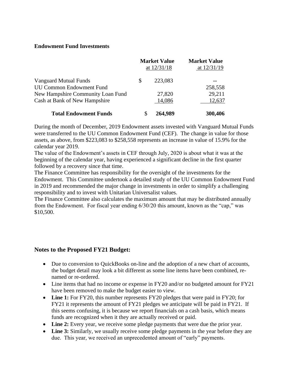#### <span id="page-29-0"></span>**Endowment Fund Investments**

|                                   | <b>Market Value</b><br>at $12/31/18$ | <b>Market Value</b><br>at 12/31/19 |
|-----------------------------------|--------------------------------------|------------------------------------|
| Vanguard Mutual Funds             | 223,083                              | --                                 |
| <b>UU Common Endowment Fund</b>   |                                      | 258,558                            |
| New Hampshire Community Loan Fund | 27,820                               | 29,211                             |
| Cash at Bank of New Hampshire     | 14,086                               | 12,637                             |
| <b>Total Endowment Funds</b>      | 264,989                              | 300,406                            |

During the month of December, 2019 Endowment assets invested with Vanguard Mutual Funds were transferred to the UU Common Endowment Fund (CEF). The change in value for those assets, as above, from \$223,083 to \$258,558 represents an increase in value of 15.9% for the calendar year 2019.

The value of the Endowment's assets in CEF through July, 2020 is about what it was at the beginning of the calendar year, having experienced a significant decline in the first quarter followed by a recovery since that time.

The Finance Committee has responsibility for the oversight of the investments for the Endowment. This Committee undertook a detailed study of the UU Common Endowment Fund in 2019 and recommended the major change in investments in order to simplify a challenging responsibility and to invest with Unitarian Universalist values.

The Finance Committee also calculates the maximum amount that may be distributed annually from the Endowment. For fiscal year ending 6/30/20 this amount, known as the "cap," was \$10,500.

#### <span id="page-29-1"></span>**Notes to the Proposed FY21 Budget:**

- Due to conversion to QuickBooks on-line and the adoption of a new chart of accounts, the budget detail may look a bit different as some line items have been combined, renamed or re-ordered.
- Line items that had no income or expense in FY20 and/or no budgeted amount for FY21 have been removed to make the budget easier to view.
- Line 1: For FY20, this number represents FY20 pledges that were paid in FY20; for FY21 it represents the amount of FY21 pledges we anticipate will be paid in FY21. If this seems confusing, it is because we report financials on a cash basis, which means funds are recognized when it they are actually received or paid.
- **Line 2:** Every year, we receive some pledge payments that were due the prior year.
- **Line 3:** Similarly, we usually receive some pledge payments in the year before they are due. This year, we received an unprecedented amount of "early" payments.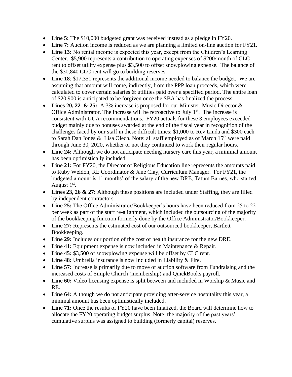- Line 5: The \$10,000 budgeted grant was received instead as a pledge in FY20.
- Line 7: Auction income is reduced as we are planning a limited on-line auction for FY21.
- Line 13: No rental income is expected this year, except from the Children's Learning Center. \$5,900 represents a contribution to operating expenses of \$200/month of CLC rent to offset utility expense plus \$3,500 to offset snowplowing expense. The balance of the \$30,840 CLC rent will go to building reserves.
- **Line 18**: \$17,351 represents the additional income needed to balance the budget. We are assuming that amount will come, indirectly, from the PPP loan proceeds, which were calculated to cover certain salaries & utilities paid over a specified period. The entire loan of \$20,900 is anticipated to be forgiven once the SBA has finalized the process.
- Lines 20, 22 & 25: A 3% increase is proposed for our Minister, Music Director  $\&$ Office Administrator. The increase will be retroactive to July  $1<sup>st</sup>$ . The increase is consistent with UUA recommendations. FY20 actuals for these 3 employees exceeded budget mainly due to bonuses awarded at the end of the fiscal year in recognition of the challenges faced by our staff in these difficult times: \$1,000 to Rev Linda and \$300 each to Sarah Dan Jones & Lisa Olech. Note: all staff employed as of March 15<sup>th</sup> were paid through June 30, 2020, whether or not they continued to work their regular hours.
- Line 24: Although we do not anticipate needing nursery care this year, a minimal amount has been optimistically included.
- Line 21: For FY20, the Director of Religious Education line represents the amounts paid to Ruby Weldon, RE Coordinator & Jane Clay, Curriculum Manager. For FY21, the budgeted amount is 11 months' of the salary of the new DRE, Tatum Barnes, who started August  $1<sup>st</sup>$ .
- Lines 23, 26 & 27: Although these positions are included under Staffing, they are filled by independent contractors.
- Line 25: The Office Administrator/Bookkeeper's hours have been reduced from 25 to 22 per week as part of the staff re-alignment, which included the outsourcing of the majority of the bookkeeping function formerly done by the Office Administrator/Bookkeeper.
- Line 27: Represents the estimated cost of our outsourced bookkeeper, Bartlett Bookkeeping.
- **Line 29:** Includes our portion of the cost of health insurance for the new DRE.
- Line 41: Equipment expense is now included in Maintenance & Repair.
- Line 45: \$3,500 of snowplowing expense will be offset by CLC rent.
- Line 48: Umbrella insurance is now Included in Liability & Fire.
- **Line 57:** Increase is primarily due to move of auction software from Fundraising and the increased costs of Simple Church (membership) and QuickBooks payroll.
- Line 60: Video licensing expense is split between and included in Worship & Music and RE.
- **Line 64:** Although we do not anticipate providing after-service hospitality this year, a minimal amount has been optimistically included.
- Line 71: Once the results of FY20 have been finalized, the Board will determine how to allocate the FY20 operating budget surplus. Note: the majority of the past years' cumulative surplus was assigned to building (formerly capital) reserves.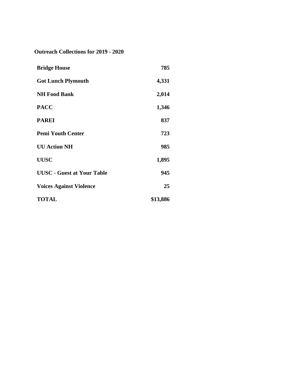<span id="page-31-0"></span>**Outreach Collections for 2019 - 2020**

| <b>Bridge House</b>               | 785      |
|-----------------------------------|----------|
| <b>Got Lunch Plymouth</b>         | 4,331    |
| <b>NH Food Bank</b>               | 2,014    |
| <b>PACC</b>                       | 1,346    |
| <b>PAREI</b>                      | 837      |
| <b>Pemi Youth Center</b>          | 723      |
| <b>UU Action NH</b>               | 985      |
| <b>UUSC</b>                       | 1,895    |
| <b>UUSC</b> - Guest at Your Table | 945      |
| <b>Voices Against Violence</b>    | 25       |
| <b>TOTAL</b>                      | \$13,886 |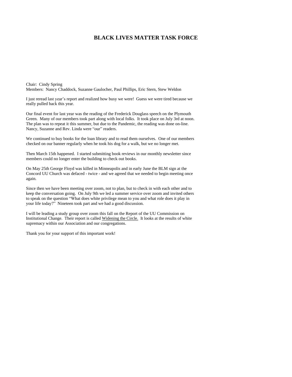#### **BLACK LIVES MATTER TASK FORCE**

<span id="page-32-0"></span>Chair: Cindy Spring Members: Nancy Chaddock, Suzanne Gaulocher, Paul Phillips, Eric Stern, Stew Weldon

I just reread last year's report and realized how busy we were! Guess we were tired because we really pulled back this year.

Our final event for last year was the reading of the Frederick Douglass speech on the Plymouth Green. Many of our members took part along with local folks. It took place on July 3rd at noon. The plan was to repeat it this summer, but due to the Pandemic, the reading was done on-line. Nancy, Suzanne and Rev. Linda were "our" readers.

We continued to buy books for the loan library and to read them ourselves. One of our members checked on our banner regularly when he took his dog for a walk, but we no longer met.

Then March 15th happened. I started submitting book reviews in our monthly newsletter since members could no longer enter the building to check out books.

On May 25th George Floyd was killed in Minneapolis and in early June the BLM sign at the Concord UU Church was defaced - twice - and we agreed that we needed to begin meeting once again.

Since then we have been meeting over zoom, not to plan, but to check in with each other and to keep the conversation going. On July 9th we led a summer service over zoom and invited others to speak on the question "What does white privilege mean to you and what role does it play in your life today?" Nineteen took part and we had a good discussion.

I will be leading a study group over zoom this fall on the Report of the UU Commission on Institutional Change. Their report is called Widening the Circle. It looks at the results of white supremacy within our Association and our congregations.

Thank you for your support of this important work!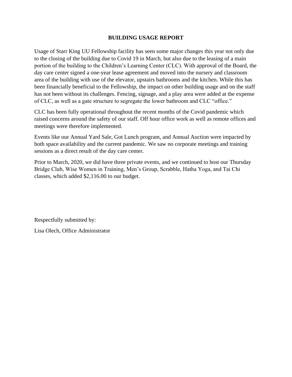#### **BUILDING USAGE REPORT**

<span id="page-33-0"></span>Usage of Starr King UU Fellowship facility has seen some major changes this year not only due to the closing of the building due to Covid 19 in March, but also due to the leasing of a main portion of the building to the Children's Learning Center (CLC). With approval of the Board, the day care center signed a one-year lease agreement and moved into the nursery and classroom area of the building with use of the elevator, upstairs bathrooms and the kitchen. While this has been financially beneficial to the Fellowship, the impact on other building usage and on the staff has not been without its challenges. Fencing, signage, and a play area were added at the expense of CLC, as well as a gate structure to segregate the lower bathroom and CLC "office."

CLC has been fully operational throughout the recent months of the Covid pandemic which raised concerns around the safety of our staff. Off hour office work as well as remote offices and meetings were therefore implemented.

Events like our Annual Yard Sale, Got Lunch program, and Annual Auction were impacted by both space availability and the current pandemic. We saw no corporate meetings and training sessions as a direct result of the day care center.

Prior to March, 2020, we did have three private events, and we continued to host our Thursday Bridge Club, Wise Women in Training, Men's Group, Scrabble, Hatha Yoga, and Tai Chi classes, which added \$2,116.00 to our budget.

Respectfully submitted by:

Lisa Olech, Office Administrator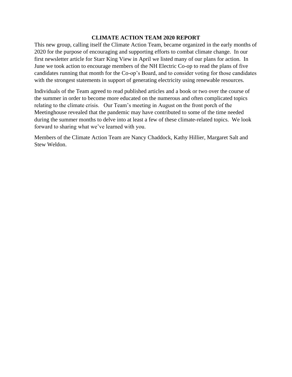#### **CLIMATE ACTION TEAM 2020 REPORT**

<span id="page-34-0"></span>This new group, calling itself the Climate Action Team, became organized in the early months of 2020 for the purpose of encouraging and supporting efforts to combat climate change. In our first newsletter article for Starr King View in April we listed many of our plans for action. In June we took action to encourage members of the NH Electric Co-op to read the plans of five candidates running that month for the Co-op's Board, and to consider voting for those candidates with the strongest statements in support of generating electricity using renewable resources.

Individuals of the Team agreed to read published articles and a book or two over the course of the summer in order to become more educated on the numerous and often complicated topics relating to the climate crisis. Our Team's meeting in August on the front porch of the Meetinghouse revealed that the pandemic may have contributed to some of the time needed during the summer months to delve into at least a few of these climate-related topics. We look forward to sharing what we've learned with you.

Members of the Climate Action Team are Nancy Chaddock, Kathy Hillier, Margaret Salt and Stew Weldon.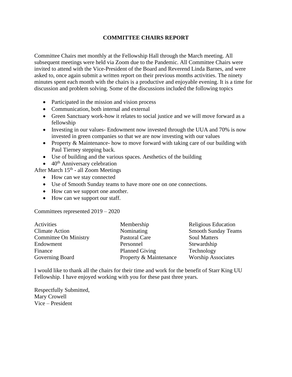#### **COMMITTEE CHAIRS REPORT**

<span id="page-35-0"></span>Committee Chairs met monthly at the Fellowship Hall through the March meeting. All subsequent meetings were held via Zoom due to the Pandemic. All Committee Chairs were invited to attend with the Vice-President of the Board and Reverend Linda Barnes, and were asked to, once again submit a written report on their previous months activities. The ninety minutes spent each month with the chairs is a productive and enjoyable evening. It is a time for discussion and problem solving. Some of the discussions included the following topics

- Participated in the mission and vision process
- Communication, both internal and external
- Green Sanctuary work-how it relates to social justice and we will move forward as a fellowship
- Investing in our values-Endowment now invested through the UUA and 70% is now invested in green companies so that we are now investing with our values
- Property & Maintenance- how to move forward with taking care of our building with Paul Tierney stepping back.
- Use of building and the various spaces. Aesthetics of the building
- $\bullet$  40<sup>th</sup> Anniversary celebration

After March 15<sup>th</sup> - all Zoom Meetings

- How can we stay connected
- Use of Smooth Sunday teams to have more one on one connections.
- How can we support one another.
- How can we support our staff.

Committees represented 2019 – 2020

| Activities                   | Membership             | Religious Education        |
|------------------------------|------------------------|----------------------------|
| <b>Climate Action</b>        | Nominating             | <b>Smooth Sunday Teams</b> |
| <b>Committee On Ministry</b> | Pastoral Care          | <b>Soul Matters</b>        |
| Endowment                    | Personnel              | Stewardship                |
| Finance                      | <b>Planned Giving</b>  | Technology                 |
| Governing Board              | Property & Maintenance | <b>Worship Associates</b>  |

I would like to thank all the chairs for their time and work for the benefit of Starr King UU Fellowship. I have enjoyed working with you for these past three years.

Respectfully Submitted, Mary Crowell Vice – President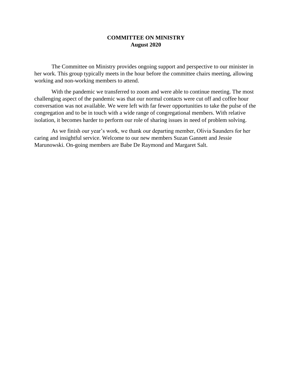#### **COMMITTEE ON MINISTRY August 2020**

<span id="page-36-0"></span>The Committee on Ministry provides ongoing support and perspective to our minister in her work. This group typically meets in the hour before the committee chairs meeting, allowing working and non-working members to attend.

With the pandemic we transferred to zoom and were able to continue meeting. The most challenging aspect of the pandemic was that our normal contacts were cut off and coffee hour conversation was not available. We were left with far fewer opportunities to take the pulse of the congregation and to be in touch with a wide range of congregational members. With relative isolation, it becomes harder to perform our role of sharing issues in need of problem solving.

As we finish our year's work, we thank our departing member, Olivia Saunders for her caring and insightful service. Welcome to our new members Suzan Gannett and Jessie Marunowski. On-going members are Babe De Raymond and Margaret Salt.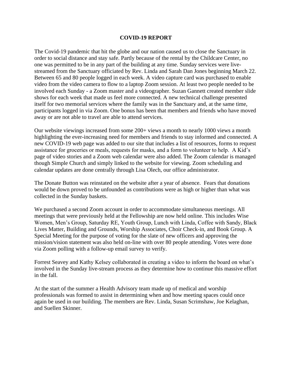#### **COVID-19 REPORT**

<span id="page-37-0"></span>The Covid-19 pandemic that hit the globe and our nation caused us to close the Sanctuary in order to social distance and stay safe. Partly because of the rental by the Childcare Center, no one was permitted to be in any part of the building at any time. Sunday services were livestreamed from the Sanctuary officiated by Rev. Linda and Sarah Dan Jones beginning March 22. Between 65 and 80 people logged in each week. A video capture card was purchased to enable video from the video camera to flow to a laptop Zoom session. At least two people needed to be involved each Sunday - a Zoom master and a videographer. Suzan Gannett created member slide shows for each week that made us feel more connected. A new technical challenge presented itself for two memorial services where the family was in the Sanctuary and, at the same time, participants logged in via Zoom. One bonus has been that members and friends who have moved away or are not able to travel are able to attend services.

Our website viewings increased from some 200+ views a month to nearly 1000 views a month highlighting the ever-increasing need for members and friends to stay informed and connected. A new COVID-19 web page was added to our site that includes a list of resources, forms to request assistance for groceries or meals, requests for masks, and a form to volunteer to help. A Kid's page of video stories and a Zoom web calendar were also added. The Zoom calendar is managed though Simple Church and simply linked to the website for viewing. Zoom scheduling and calendar updates are done centrally through Lisa Olech, our office administrator.

The Donate Button was reinstated on the website after a year of absence. Fears that donations would be down proved to be unfounded as contributions were as high or higher than what was collected in the Sunday baskets.

We purchased a second Zoom account in order to accommodate simultaneous meetings. All meetings that were previously held at the Fellowship are now held online. This includes Wise Women, Men's Group, Saturday RE, Youth Group, Lunch with Linda, Coffee with Sandy, Black Lives Matter, Building and Grounds, Worship Associates, Choir Check-in, and Book Group. A Special Meeting for the purpose of voting for the slate of new officers and approving the mission/vision statement was also held on-line with over 80 people attending. Votes were done via Zoom polling with a follow-up email survey to verify.

Forrest Seavey and Kathy Kelsey collaborated in creating a video to inform the board on what's involved in the Sunday live-stream process as they determine how to continue this massive effort in the fall.

At the start of the summer a Health Advisory team made up of medical and worship professionals was formed to assist in determining when and how meeting spaces could once again be used in our building. The members are Rev. Linda, Susan Scrimshaw, Joe Kelaghan, and Suellen Skinner.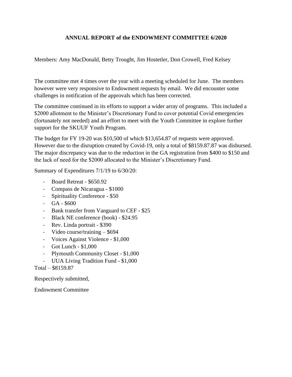#### **ANNUAL REPORT of the ENDOWMENT COMMITTEE 6/2020**

<span id="page-38-0"></span>Members: Amy MacDonald, Betty Trought, Jim Hostetler, Don Crowell, Fred Kelsey

The committee met 4 times over the year with a meeting scheduled for June. The members however were very responsive to Endowment requests by email. We did encounter some challenges in notification of the approvals which has been corrected.

The committee continued in its efforts to support a wider array of programs. This included a \$2000 allotment to the Minister's Discretionary Fund to cover potential Covid emergencies (fortunately not needed) and an effort to meet with the Youth Committee in explore further support for the SKUUF Youth Program.

The budget for FY 19-20 was \$10,500 of which \$13,654.87 of requests were approved. However due to the disruption created by Covid-19, only a total of \$8159.87.87 was disbursed. The major discrepancy was due to the reduction in the GA registration from \$400 to \$150 and the lack of need for the \$2000 allocated to the Minister's Discretionary Fund.

Summary of Expenditures 7/1/19 to 6/30/20:

- Board Retreat \$650.92
- Compass de Nicaragua \$1000
- Spirituality Conference \$50
- $-$  GA  $-$  \$600
- Bank transfer from Vanguard to CEF \$25
- Black NE conference (book) \$24.95
- Rev. Linda portrait \$390
- Video course/training \$694
- Voices Against Violence \$1,000
- Got Lunch \$1,000
- Plymouth Community Closet \$1,000
- UUA Living Tradition Fund \$1,000

Total – \$8159.87

Respectively submitted,

Endowment Committee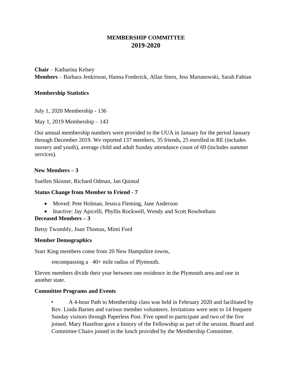#### **MEMBERSHIP COMMITTEE 2019-2020**

<span id="page-39-1"></span><span id="page-39-0"></span>**Chair** – Katharina Kelsey **Members** – Barbara Jenkinson, Hanna Frederick, Allan Stern, Jess Marunowski, Sarah Fabian

#### <span id="page-39-2"></span>**Membership Statistics**

July 1, 2020 Membership - 136

May 1, 2019 Membership – 143

Our annual membership numbers were provided to the UUA in January for the period January through December 2019. We reported 137 members, 35 friends, 25 enrolled in RE (includes nursery and youth), average child and adult Sunday attendance count of 69 (includes summer services).

#### **New Members – 3**

Suellen Skinner, Richard Odman, Jan Quintal

#### **Status Change from Member to Friend - 7**

- Moved: Pete Holman, Jessica Fleming, Jane Anderson
- Inactive: Jay Apicelli, Phyllis Rockwell, Wendy and Scott Rowbotham

#### **Deceased Members – 3**

Betsy Twombly, Joan Thomas, Mimi Ford

#### <span id="page-39-3"></span>**Member Demographics**

Starr King members come from 20 New Hampshire towns,

encompassing a 40+ mile radius of Plymouth.

Eleven members divide their year between one residence in the Plymouth area and one in another state.

#### **Committee Programs and Events**

• A 4-hour Path to Membership class was held in February 2020 and facilitated by Rev. Linda Barnes and various member volunteers. Invitations were sent to 14 frequent Sunday visitors through Paperless Post. Five opted to participate and two of the five joined. Mary Hazelton gave a history of the Fellowship as part of the session. Board and Committee Chairs joined in the lunch provided by the Membership Committee.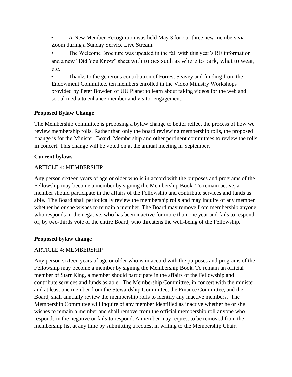• A New Member Recognition was held May 3 for our three new members via Zoom during a Sunday Service Live Stream.

The Welcome Brochure was updated in the fall with this year's RE information and a new "Did You Know" sheet with topics such as where to park, what to wear, etc.

• Thanks to the generous contribution of Forrest Seavey and funding from the Endowment Committee, ten members enrolled in the Video Ministry Workshops provided by Peter Bowden of UU Planet to learn about taking videos for the web and social media to enhance member and visitor engagement.

#### <span id="page-40-0"></span>**Proposed Bylaw Change**

The Membership committee is proposing a bylaw change to better reflect the process of how we review membership rolls. Rather than only the board reviewing membership rolls, the proposed change is for the Minister, Board, Membership and other pertinent committees to review the rolls in concert. This change will be voted on at the annual meeting in September.

#### **Current bylaws**

#### ARTICLE 4: MEMBERSHIP

Any person sixteen years of age or older who is in accord with the purposes and programs of the Fellowship may become a member by signing the Membership Book. To remain active, a member should participate in the affairs of the Fellowship and contribute services and funds as able. The Board shall periodically review the membership rolls and may inquire of any member whether he or she wishes to remain a member. The Board may remove from membership anyone who responds in the negative, who has been inactive for more than one year and fails to respond or, by two-thirds vote of the entire Board, who threatens the well-being of the Fellowship.

#### **Proposed bylaw change**

#### ARTICLE 4: MEMBERSHIP

Any person sixteen years of age or older who is in accord with the purposes and programs of the Fellowship may become a member by signing the Membership Book. To remain an official member of Starr King, a member should participate in the affairs of the Fellowship and contribute services and funds as able. The Membership Committee, in concert with the minister and at least one member from the Stewardship Committee, the Finance Committee, and the Board, shall annually review the membership rolls to identify any inactive members. The Membership Committee will inquire of any member identified as inactive whether he or she wishes to remain a member and shall remove from the official membership roll anyone who responds in the negative or fails to respond. A member may request to be removed from the membership list at any time by submitting a request in writing to the Membership Chair.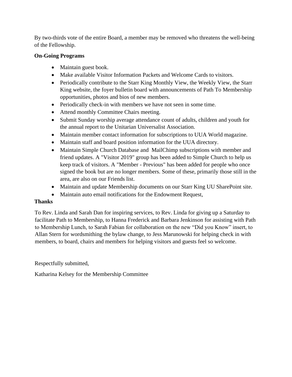By two-thirds vote of the entire Board, a member may be removed who threatens the well-being of the Fellowship.

#### <span id="page-41-0"></span>**On-Going Programs**

- Maintain guest book.
- Make available Visitor Information Packets and Welcome Cards to visitors.
- Periodically contribute to the Starr King Monthly View, the Weekly View, the Starr King website, the foyer bulletin board with announcements of Path To Membership opportunities, photos and bios of new members.
- Periodically check-in with members we have not seen in some time.
- Attend monthly Committee Chairs meeting.
- Submit Sunday worship average attendance count of adults, children and youth for the annual report to the Unitarian Universalist Association.
- Maintain member contact information for subscriptions to UUA World magazine.
- Maintain staff and board position information for the UUA directory.
- Maintain Simple Church Database and MailChimp subscriptions with member and friend updates. A "Visitor 2019" group has been added to Simple Church to help us keep track of visitors. A "Member - Previous" has been added for people who once signed the book but are no longer members. Some of these, primarily those still in the area, are also on our Friends list.
- Maintain and update Membership documents on our Starr King UU SharePoint site.
- Maintain auto email notifications for the Endowment Request,

#### <span id="page-41-1"></span>**Thanks**

To Rev. Linda and Sarah Dan for inspiring services, to Rev. Linda for giving up a Saturday to facilitate Path to Membership, to Hanna Frederick and Barbara Jenkinson for assisting with Path to Membership Lunch, to Sarah Fabian for collaboration on the new "Did you Know" insert, to Allan Stern for wordsmithing the bylaw change, to Jess Marunowski for helping check in with members, to board, chairs and members for helping visitors and guests feel so welcome.

Respectfully submitted,

Katharina Kelsey for the Membership Committee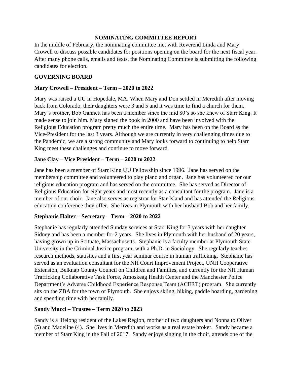#### **NOMINATING COMMITTEE REPORT**

<span id="page-42-0"></span>In the middle of February, the nominating committee met with Reverend Linda and Mary Crowell to discuss possible candidates for positions opening on the board for the next fiscal year. After many phone calls, emails and texts, the Nominating Committee is submitting the following candidates for election.

#### **GOVERNING BOARD**

#### **Mary Crowell – President – Term – 2020 to 2022**

Mary was raised a UU in Hopedale, MA. When Mary and Don settled in Meredith after moving back from Colorado, their daughters were 3 and 5 and it was time to find a church for them. Mary's brother, Bob Gannett has been a member since the mid 80's so she knew of Starr King. It made sense to join him. Mary signed the book in 2000 and have been involved with the Religious Education program pretty much the entire time. Mary has been on the Board as the Vice-President for the last 3 years. Although we are currently in very challenging times due to the Pandemic, we are a strong community and Mary looks forward to continuing to help Starr King meet these challenges and continue to move forward.

#### **Jane Clay – Vice President – Term – 2020 to 2022**

Jane has been a member of Starr King UU Fellowship since 1996. Jane has served on the membership committee and volunteered to play piano and organ. Jane has volunteered for our religious education program and has served on the committee. She has served as Director of Religious Education for eight years and most recently as a consultant for the program. Jane is a member of our choir. Jane also serves as registrar for Star Island and has attended the Religious education conference they offer. She lives in Plymouth with her husband Bob and her family.

#### **Stephanie Halter – Secretary – Term – 2020 to 2022**

Stephanie has regularly attended Sunday services at Starr King for 3 years with her daughter Sidney and has been a member for 2 years. She lives in Plymouth with her husband of 20 years, having grown up in Scituate, Massachusetts. Stephanie is a faculty member at Plymouth State University in the Criminal Justice program, with a Ph.D. in Sociology. She regularly teaches research methods, statistics and a first year seminar course in human trafficking. Stephanie has served as an evaluation consultant for the NH Court Improvement Project, UNH Cooperative Extension, Belknap County Council on Children and Families, and currently for the NH Human Trafficking Collaborative Task Force, Amoskeag Health Center and the Manchester Police Department's Adverse Childhood Experience Response Team (ACERT) program. She currently sits on the ZBA for the town of Plymouth. She enjoys skiing, hiking, paddle boarding, gardening and spending time with her family.

#### **Sandy Mucci – Trustee – Term 2020 to 2023**

Sandy is a lifelong resident of the Lakes Region, mother of two daughters and Nonna to Oliver (5) and Madeline (4). She lives in Meredith and works as a real estate broker. Sandy became a member of Starr King in the Fall of 2017. Sandy enjoys singing in the choir, attends one of the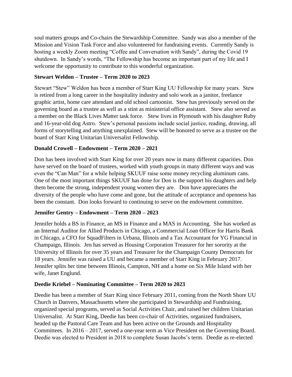soul matters groups and Co-chairs the Stewardship Committee. Sandy was also a member of the Mission and Vision Task Force and also volunteered for fundraising events. Currently Sandy is hosting a weekly Zoom meeting "Coffee and Conversation with Sandy", during the Covid 19 shutdown. In Sandy's words, "The Fellowship has become an important part of my life and I welcome the opportunity to contribute to this wonderful organization.

#### **Stewart Weldon – Trustee – Term 2020 to 2023**

Stewart "Stew" Weldon has been a member of Starr King UU Fellowship for many years. Stew is retired from a long career in the hospitality industry and solo work as a janitor, freelance graphic artist, home care attendant and old school cartoonist. Stew has previously served on the governing board as a trustee as well as a stint as ministerial office assistant. Stew also served as a member on the Black Lives Matter task force. Stew lives in Plymouth with his daughter Ruby and 16-year-old dog Astro. Stew's personal passions include social justice, reading, drawing, all forms of storytelling and anything unexplained. Stew will be honored to serve as a trustee on the board of Starr King Unitarian Universalist Fellowship.

#### **Donald Crowell – Endowment – Term 2020 – 2021**

Don has been involved with Starr King for over 20 years now in many different capacities. Don have served on the board of trustees, worked with youth groups in many different ways and was even the "Can Man" for a while helping SKUUF raise some money recycling aluminum cans. One of the most important things SKUUF has done for Don is the support his daughters and help them become the strong, independent young women they are. Don have appreciates the diversity of the people who have come and gone, but the attitude of acceptance and openness has been the constant. Don looks forward to continuing to serve on the endowment committee.

#### **Jennifer Gentry – Endowment – Term 2020 – 2023**

Jennifer holds a BS in Finance, an MS in Finance and a MAS in Accounting. She has worked as an Internal Auditor for Allied Products in Chicago, a Commercial Loan Officer for Harris Bank in Chicago, a CFO for SquadFilters in Urbana, Illinois and a Tax Accountant for YG Financial in Champaign, Illinois. Jen has served as Housing Corporation Treasurer for her sorority at the University of Illinois for over 35 years and Treasurer for the Champaign County Democrats for 18 years. Jennifer was raised a UU and became a member of Starr King in February 2017. Jennifer splits her time between Illinois, Campton, NH and a home on Six Mile Island with her wife, Janet Englund.

#### **Deedie Kriebel – Nominating Committee – Term 2020 to 2023**

Deedie has been a member of Starr King since February 2011, coming from the North Shore UU Church in Danvers, Massachusetts where she participated in Stewardship and Fundraising, organized special programs, served as Social Activities Chair, and raised her children Unitarian Universalist. At Starr King, Deedie has been co-chair of Activities, organized fundraisers, headed up the Pastoral Care Team and has been active on the Grounds and Hospitality Committees. In 2016 – 2017, served a one-year term as Vice President on the Governing Board. Deedie was elected to President in 2018 to complete Susan Jacobs's term. Deedie as re-elected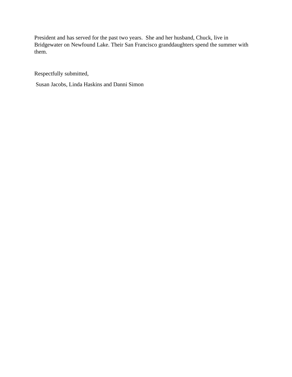President and has served for the past two years. She and her husband, Chuck, live in Bridgewater on Newfound Lake. Their San Francisco granddaughters spend the summer with them.

Respectfully submitted,

Susan Jacobs, Linda Haskins and Danni Simon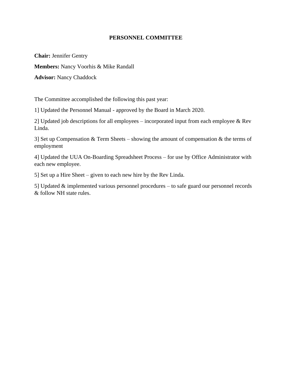#### **PERSONNEL COMMITTEE**

<span id="page-45-0"></span>**Chair:** Jennifer Gentry

**Members:** Nancy Voorhis & Mike Randall

**Advisor:** Nancy Chaddock

The Committee accomplished the following this past year:

1] Updated the Personnel Manual - approved by the Board in March 2020.

2] Updated job descriptions for all employees – incorporated input from each employee & Rev Linda.

3] Set up Compensation  $&$  Term Sheets – showing the amount of compensation  $&$  the terms of employment

4] Updated the UUA On-Boarding Spreadsheet Process – for use by Office Administrator with each new employee.

5] Set up a Hire Sheet – given to each new hire by the Rev Linda.

5] Updated & implemented various personnel procedures – to safe guard our personnel records & follow NH state rules.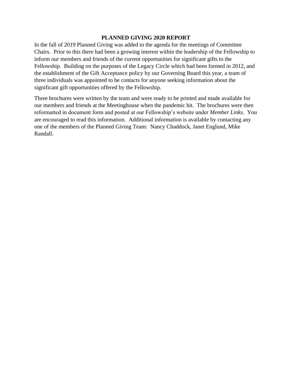#### **PLANNED GIVING 2020 REPORT**

<span id="page-46-0"></span>In the fall of 2019 Planned Giving was added to the agenda for the meetings of Committee Chairs. Prior to this there had been a growing interest within the leadership of the Fellowship to inform our members and friends of the current opportunities for significant gifts to the Fellowship. Building on the purposes of the Legacy Circle which had been formed in 2012, and the establishment of the Gift Acceptance policy by our Governing Board this year, a team of three individuals was appointed to be contacts for anyone seeking information about the significant gift opportunities offered by the Fellowship.

Three brochures were written by the team and were ready to be printed and made available for our members and friends at the Meetinghouse when the pandemic hit. The brochures were then reformatted in document form and posted at our Fellowship's website under *Member Links*. You are encouraged to read this information. Additional information is available by contacting any one of the members of the Planned Giving Team: Nancy Chaddock, Janet Englund, Mike Randall.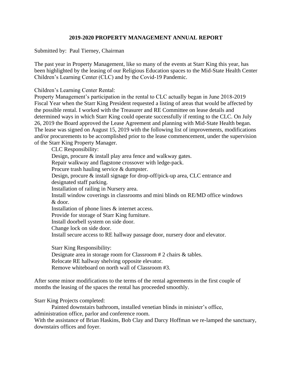#### **2019-2020 PROPERTY MANAGEMENT ANNUAL REPORT**

Submitted by: Paul Tierney, Chairman

The past year in Property Management, like so many of the events at Starr King this year, has been highlighted by the leasing of our Religious Education spaces to the Mid-State Health Center Children's Learning Center (CLC) and by the Covid-19 Pandemic.

Children's Learning Center Rental:

Property Management's participation in the rental to CLC actually began in June 2018-2019 Fiscal Year when the Starr King President requested a listing of areas that would be affected by the possible rental. I worked with the Treasurer and RE Committee on lease details and determined ways in which Starr King could operate successfully if renting to the CLC. On July 26, 2019 the Board approved the Lease Agreement and planning with Mid-State Health began. The lease was signed on August 15, 2019 with the following list of improvements, modifications and/or procurements to be accomplished prior to the lease commencement, under the supervision of the Starr King Property Manager.

CLC Responsibility:

Design, procure & install play area fence and walkway gates. Repair walkway and flagstone crossover with ledge-pack. Procure trash hauling service & dumpster. Design, procure & install signage for drop-off/pick-up area, CLC entrance and designated staff parking. Installation of railing in Nursery area. Install window coverings in classrooms and mini blinds on RE/MD office windows & door. Installation of phone lines & internet access. Provide for storage of Starr King furniture. Install doorbell system on side door. Change lock on side door. Install secure access to RE hallway passage door, nursery door and elevator. Starr King Responsibility: Designate area in storage room for Classroom # 2 chairs & tables.

Relocate RE hallway shelving opposite elevator.

Remove whiteboard on north wall of Classroom #3.

After some minor modifications to the terms of the rental agreements in the first couple of months the leasing of the spaces the rental has proceeded smoothly.

Starr King Projects completed:

Painted downstairs bathroom, installed venetian blinds in minister's office, administration office, parlor and conference room.

With the assistance of Brian Haskins, Bob Clay and Darcy Hoffman we re-lamped the sanctuary, downstairs offices and foyer.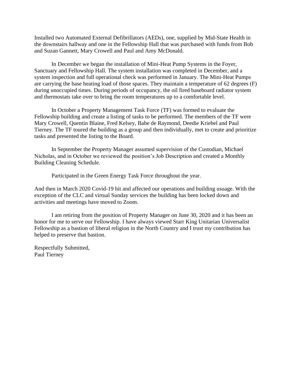Installed two Automated External Defibrillators (AEDs), one, supplied by Mid-State Health in the downstairs hallway and one in the Fellowship Hall that was purchased with funds from Bob and Suzan Gannett, Mary Crowell and Paul and Amy McDonald.

In December we began the installation of Mini-Heat Pump Systems in the Foyer, Sanctuary and Fellowship Hall. The system installation was completed in December, and a system inspection and full operational check was performed in January. The Mini-Heat Pumps are carrying the base heating load of those spaces. They maintain a temperature of 62 degrees (F) during unoccupied times. During periods of occupancy, the oil fired baseboard radiator system and thermostats take over to bring the room temperatures up to a comfortable level.

In October a Property Management Task Force (TF) was formed to evaluate the Fellowship building and create a listing of tasks to be performed. The members of the TF were Mary Crowell, Quentin Blaine, Fred Kelsey, Babe de Raymond, Deedie Kriebel and Paul Tierney. The TF toured the building as a group and then individually, met to create and prioritize tasks and presented the listing to the Board.

In September the Property Manager assumed supervision of the Custodian, Michael Nicholas, and in October we reviewed the position's Job Description and created a Monthly Building Cleaning Schedule.

Participated in the Green Energy Task Force throughout the year.

And then in March 2020 Covid-19 hit and affected our operations and building usuage. With the exception of the CLC and virtual Sunday services the building has been locked down and activities and meetings have moved to Zoom.

I am retiring from the position of Property Manager on June 30, 2020 and it has been an honor for me to serve our Fellowship. I have always viewed Starr King Unitarian Universalist Fellowship as a bastion of liberal religion in the North Country and I trust my contribution has helped to preserve that bastion.

Respectfully Submitted, Paul Tierney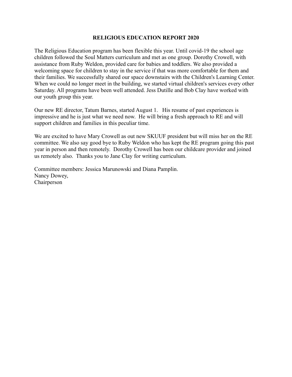#### **RELIGIOUS EDUCATION REPORT 2020**

<span id="page-49-0"></span>The Religious Education program has been flexible this year. Until covid-19 the school age children followed the Soul Matters curriculum and met as one group. Dorothy Crowell, with assistance from Ruby Weldon, provided care for babies and toddlers. We also provided a welcoming space for children to stay in the service if that was more comfortable for them and their families. We successfully shared our space downstairs with the Children's Learning Center. When we could no longer meet in the building, we started virtual children's services every other Saturday. All programs have been well attended. Jess Dutille and Bob Clay have worked with our youth group this year.

Our new RE director, Tatum Barnes, started August 1. His resume of past experiences is impressive and he is just what we need now. He will bring a fresh approach to RE and will support children and families in this peculiar time.

We are excited to have Mary Crowell as out new SKUUF president but will miss her on the RE committee. We also say good bye to Ruby Weldon who has kept the RE program going this past year in person and then remotely. Dorothy Crowell has been our childcare provider and joined us remotely also. Thanks you to Jane Clay for writing curriculum.

Committee members: Jessica Marunowski and Diana Pamplin. Nancy Dowey, Chairperson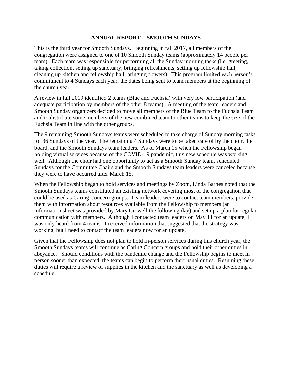#### **ANNUAL REPORT – SMOOTH SUNDAYS**

This is the third year for Smooth Sundays. Beginning in fall 2017, all members of the congregation were assigned to one of 10 Smooth Sunday teams (approximately 14 people per team). Each team was responsible for performing all the Sunday morning tasks (i.e. greeting, taking collection, setting up sanctuary, bringing refreshments, setting up fellowship hall, cleaning up kitchen and fellowship hall, bringing flowers). This program limited each person's commitment to 4 Sundays each year, the dates being sent to team members at the beginning of the church year.

A review in fall 2019 identified 2 teams (Blue and Fuchsia) with very low participation (and adequate participation by members of the other 8 teams). A meeting of the team leaders and Smooth Sunday organizers decided to move all members of the Blue Team to the Fuchsia Team and to distribute some members of the new combined team to other teams to keep the size of the Fuchsia Team in line with the other groups.

The 9 remaining Smooth Sundays teams were scheduled to take charge of Sunday morning tasks for 36 Sundays of the year. The remaining 4 Sundays were to be taken care of by the choir, the board, and the Smooth Sundays team leaders. As of March 15 when the Fellowship began holding virtual services because of the COVID-19 pandemic, this new schedule was working well. Although the choir had one opportunity to act as a Smooth Sunday team, scheduled Sundays for the Committee Chairs and the Smooth Sundays team leaders were canceled because they were to have occurred after March 15.

When the Fellowship began to hold services and meetings by Zoom, Linda Barnes noted that the Smooth Sundays teams constituted an existing network covering most of the congregation that could be used as Caring Concern groups. Team leaders were to contact team members, provide them with information about resources available from the Fellowship to members (an information sheet was provided by Mary Crowell the following day) and set up a plan for regular communication with members. Although I contacted team leaders on May 11 for an update, I was only heard from 4 teams. I received information that suggested that the strategy was working, but I need to contact the team leaders now for an update.

Given that the Fellowship does not plan to hold in-person services during this church year, the Smooth Sundays teams will continue as Caring Concern groups and hold their other duties in abeyance. Should conditions with the pandemic change and the Fellowship begins to meet in person sooner than expected, the teams can begin to perform their usual duties. Resuming these duties will require a review of supplies in the kitchen and the sanctuary as well as developing a schedule.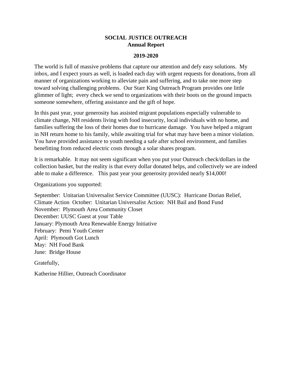#### **SOCIAL JUSTICE OUTREACH Annual Report**

#### **2019-2020**

<span id="page-51-0"></span>The world is full of massive problems that capture our attention and defy easy solutions. My inbox, and I expect yours as well, is loaded each day with urgent requests for donations, from all manner of organizations working to alleviate pain and suffering, and to take one more step toward solving challenging problems. Our Starr King Outreach Program provides one little glimmer of light; every check we send to organizations with their boots on the ground impacts someone somewhere, offering assistance and the gift of hope.

In this past year, your generosity has assisted migrant populations especially vulnerable to climate change, NH residents living with food insecurity, local individuals with no home, and families suffering the loss of their homes due to hurricane damage. You have helped a migrant in NH return home to his family, while awaiting trial for what may have been a minor violation. You have provided assistance to youth needing a safe after school environment, and families benefitting from reduced electric costs through a solar shares program.

It is remarkable. It may not seem significant when you put your Outreach check/dollars in the collection basket, but the reality is that every dollar donated helps, and collectively we are indeed able to make a difference. This past year your generosity provided nearly \$14,000!

Organizations you supported:

September: Unitarian Universalist Service Committee (UUSC): Hurricane Dorian Relief, Climate Action October: Unitarian Universalist Action: NH Bail and Bond Fund November: Plymouth Area Community Closet December: UUSC Guest at your Table January: Plymouth Area Renewable Energy Initiative February: Pemi Youth Center April: Plymouth Got Lunch May: NH Food Bank June: Bridge House

Gratefully,

Katherine Hillier, Outreach Coordinator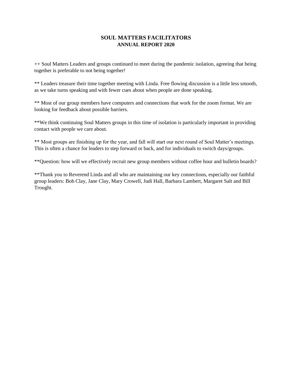#### **SOUL MATTERS FACILITATORS ANNUAL REPORT 2020**

<span id="page-52-0"></span>++ Soul Matters Leaders and groups continued to meet during the pandemic isolation, agreeing that being together is preferable to not being together!

\*\* Leaders treasure their time together meeting with Linda. Free flowing discussion is a little less smooth, as we take turns speaking and with fewer cues about when people are done speaking.

\*\* Most of our group members have computers and connections that work for the zoom format. We are looking for feedback about possible barriers.

\*\*We think continuing Soul Matters groups in this time of isolation is particularly important in providing contact with people we care about.

\*\* Most groups are finishing up for the year, and fall will start our next round of Soul Matter's meetings. This is often a chance for leaders to step forward or back, and for individuals to switch days/groups.

\*\*Question: how will we effectively recruit new group members without coffee hour and bulletin boards?

\*\*Thank you to Reverend Linda and all who are maintaining our key connections, especially our faithful group leaders: Bob Clay, Jane Clay, Mary Crowell, Judi Hall, Barbara Lambert, Margaret Salt and Bill Trought.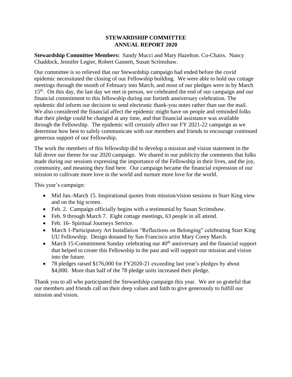#### **STEWARDSHIP COMMITTEE ANNUAL REPORT 2020**

<span id="page-53-0"></span>**Stewardship Committee Members:** Sandy Mucci and Mary Hazelton. Co-Chairs. Nancy Chaddock, Jennifer Legier, Robert Gannett, Susan Scrimshaw.

Our committee is so relieved that our Stewardship campaign had ended before the covid epidemic necessitated the closing of our Fellowship building. We were able to hold our cottage meetings through the month of February into March, and most of our pledges were in by March 15<sup>th</sup>. On this day, the last day we met in person, we celebrated the end of our campaign and our financial commitment to this fellowship during our fortieth anniversary celebration. The epidemic did inform our decision to send electronic thank-you notes rather than use the mail. We also considered the financial affect the epidemic might have on people and reminded folks that their pledge could be changed at any time, and that financial assistance was available through the Fellowship. The epidemic will certainly affect our FY 2021-22 campaign as we determine how best to safely communicate with our members and friends to encourage continued generous support of our Fellowship.

The work the members of this fellowship did to develop a mission and vision statement in the fall drove our theme for our 2020 campaign. We shared in our publicity the comments that folks made during our sessions expressing the importance of the Fellowship in their lives, and the joy, community, and meaning they find here. Our campaign became the financial expression of our mission to cultivate more love in the world and nurture more love for the world.

This year's campaign:

- Mid Jan.-March 15. Inspirational quotes from mission/vision sessions in Starr King view and on the big screen.
- Feb. 2. Campaign officially begins with a testimonial by Susan Scrimshaw.
- Feb. 9 through March 7. Eight cottage meetings, 63 people in all attend.
- Feb. 16- Spiritual Journeys Service.
- March 1-Participatory Art Installation "Reflections on Belonging" celebrating Starr King UU Fellowship. Design donated by San Francisco artist Mary Corey March.
- March 15-Commitment Sunday celebrating our  $40<sup>th</sup>$  anniversary and the financial support that helped to create this Fellowship in the past and will support our mission and vision into the future.
- 78 pledges raised \$176,000 for FY2020-21 exceeding last year's pledges by about \$4,000. More than half of the 78 pledge units increased their pledge.

Thank you to all who participated the Stewardship campaign this year. We are so grateful that our members and friends call on their deep values and faith to give generously to fulfill our mission and vision.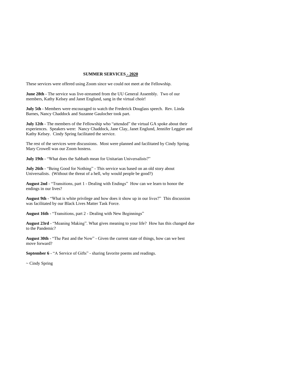#### **SUMMER SERVICES - 2020**

<span id="page-54-0"></span>These services were offered using Zoom since we could not meet at the Fellowship.

**June 28th** - The service was live-streamed from the UU General Assembly. Two of our members, Kathy Kelsey and Janet Englund, sang in the virtual choir!

**July 5th** - Members were encouraged to watch the Frederick Douglass speech. Rev. Linda Barnes, Nancy Chaddock and Suzanne Gaulocher took part.

**July 12th** - The members of the Fellowship who "attended" the virtual GA spoke about their experiences. Speakers were: Nancy Chaddock, Jane Clay, Janet Englund, Jennifer Leggier and Kathy Kelsey. Cindy Spring facilitated the service.

The rest of the services were discussions. Most were planned and facilitated by Cindy Spring. Mary Crowell was our Zoom hostess.

**July 19th** - "What does the Sabbath mean for Unitarian Universalists?"

**July 26th** - "Being Good for Nothing" - This service was based on an old story about Universalists. (Without the threat of a hell, why would people be good?)

**August 2nd** - "Transitions, part 1 - Dealing with Endings" How can we learn to honor the endings in our lives?

**August 9th** - "What is white privilege and how does it show up in our lives?" This discussion was facilitated by our Black Lives Matter Task Force.

**August 16th** - "Transitions, part 2 - Dealing with New Beginnings"

**August 23rd** - "Meaning Making". What gives meaning to your life? How has this changed due to the Pandemic?

**August 30th** - "The Past and the Now" - Given the current state of things, how can we best move forward?

**September 6** - "A Service of Gifts" - sharing favorite poems and readings.

~ Cindy Spring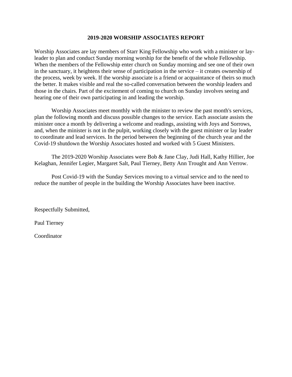#### **2019-2020 WORSHIP ASSOCIATES REPORT**

Worship Associates are lay members of Starr King Fellowship who work with a minister or layleader to plan and conduct Sunday morning worship for the benefit of the whole Fellowship. When the members of the Fellowship enter church on Sunday morning and see one of their own in the sanctuary, it heightens their sense of participation in the service – it creates ownership of the process, week by week. If the worship associate is a friend or acquaintance of theirs so much the better. It makes visible and real the so-called conversation between the worship leaders and those in the chairs. Part of the excitement of coming to church on Sunday involves seeing and hearing one of their own participating in and leading the worship.

Worship Associates meet monthly with the minister to review the past month's services, plan the following month and discuss possible changes to the service. Each associate assists the minister once a month by delivering a welcome and readings, assisting with Joys and Sorrows, and, when the minister is not in the pulpit, working closely with the guest minister or lay leader to coordinate and lead services. In the period between the beginning of the church year and the Covid-19 shutdown the Worship Associates hosted and worked with 5 Guest Ministers.

The 2019-2020 Worship Associates were Bob & Jane Clay, Judi Hall, Kathy Hillier, Joe Kelaghan, Jennifer Legier, Margaret Salt, Paul Tierney, Betty Ann Trought and Ann Verrow.

Post Covid-19 with the Sunday Services moving to a virtual service and to the need to reduce the number of people in the building the Worship Associates have been inactive.

Respectfully Submitted,

Paul Tierney

**Coordinator**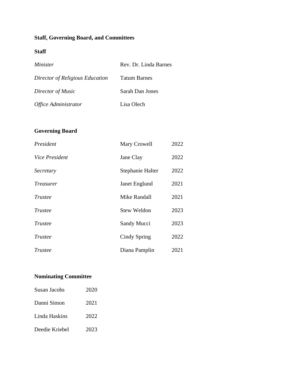# <span id="page-56-0"></span>**Staff, Governing Board, and Committees**

#### **Staff**

| Minister                           | Rev. Dr. Linda Barnes |
|------------------------------------|-----------------------|
| Director of Religious Education    | <b>Tatum Barnes</b>   |
| Director of Music                  | Sarah Dan Jones       |
| <i><b>Office Administrator</b></i> | Lisa Olech            |

# **Governing Board**

| President             | Mary Crowell     | 2022 |
|-----------------------|------------------|------|
| <i>Vice President</i> | Jane Clay        | 2022 |
| Secretary             | Stephanie Halter | 2022 |
| <i>Treasurer</i>      | Janet Englund    | 2021 |
| Trustee               | Mike Randall     | 2021 |
| Trustee               | Stew Weldon      | 2023 |
| Trustee               | Sandy Mucci      | 2023 |
| Trustee               | Cindy Spring     | 2022 |
| Trustee               | Diana Pamplin    | 2021 |

# **Nominating Committee**

| Susan Jacobs   | 2020 |
|----------------|------|
| Danni Simon    | 2021 |
| Linda Haskins  | 2022 |
| Deedie Kriebel | 2023 |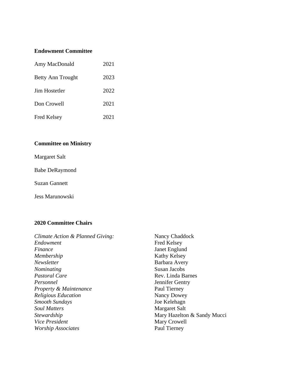#### **Endowment Committee**

| Amy MacDonald        | 2021 |
|----------------------|------|
| Betty Ann Trought    | 2023 |
| <b>Jim Hostetler</b> | 2022 |
| Don Crowell          | 2021 |
| <b>Fred Kelsey</b>   | 2021 |

# **Committee on Ministry**

Margaret Salt

Babe DeRaymond

Suzan Gannett

Jess Marunowski

#### **2020 Committee Chairs**

| Nancy Chaddock              |
|-----------------------------|
| <b>Fred Kelsey</b>          |
| Janet Englund               |
| Kathy Kelsey                |
| Barbara Avery               |
| Susan Jacobs                |
| Rev. Linda Barnes           |
| Jennifer Gentry             |
| Paul Tierney                |
| Nancy Dowey                 |
| Joe Kelehagn                |
| Margaret Salt               |
| Mary Hazelton & Sandy Mucci |
| Mary Crowell                |
| Paul Tierney                |
|                             |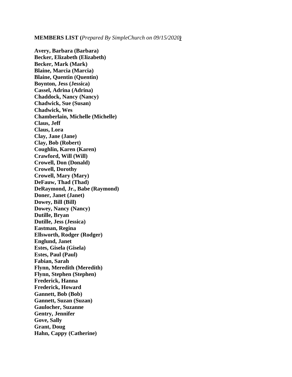<span id="page-58-0"></span>**MEMBERS LIST (***Prepared By SimpleChurch on 09/15/2020)*

**Avery, Barbara (Barbara) Becker, Elizabeth (Elizabeth) Becker, Mark (Mark) Blaine, Marcia (Marcia) Blaine, Quentin (Quentin) Boynton, Jess (Jessica) Cassel, Adrina (Adrina) Chaddock, Nancy (Nancy) Chadwick, Sue (Susan) Chadwick, Wes Chamberlain, Michelle (Michelle) Claus, Jeff Claus, Lora Clay, Jane (Jane) Clay, Bob (Robert) Coughlin, Karen (Karen) Crawford, Will (Will) Crowell, Don (Donald) Crowell, Dorothy Crowell, Mary (Mary) DeFauw, Thad (Thad) DeRaymond, Jr., Babe (Raymond) Doner, Janet (Janet) Dowey, Bill (Bill) Dowey, Nancy (Nancy) Dutille, Bryan Dutille, Jess (Jessica) Eastman, Regina Ellsworth, Rodger (Rodger) Englund, Janet Estes, Gisela (Gisela) Estes, Paul (Paul) Fabian, Sarah Flynn, Meredith (Meredith) Flynn, Stephen (Stephen) Frederick, Hanna Frederick, Howard Gannett, Bob (Bob) Gannett, Suzan (Suzan) Gaulocher, Suzanne Gentry, Jennifer Gove, Sally Grant, Doug Hahn, Cappy (Catherine)**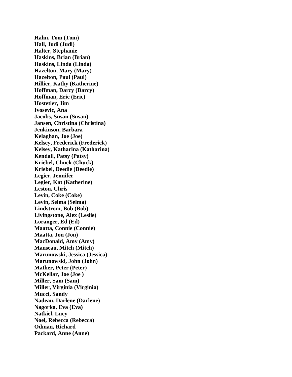**Hahn, Tom (Tom) Hall, Judi (Judi) Halter, Stephanie Haskins, Brian (Brian) Haskins, Linda (Linda) Hazelton, Mary (Mary) Hazelton, Paul (Paul) Hillier, Kathy (Katherine) Hoffman, Darcy (Darcy) Hoffman, Eric (Eric) Hostetler, Jim Ivosevic, Ana Jacobs, Susan (Susan) Jansen, Christina (Christina) Jenkinson, Barbara Kelaghan, Joe (Joe) Kelsey, Frederick (Frederick) Kelsey, Katharina (Katharina) Kendall, Patsy (Patsy) Kriebel, Chuck (Chuck) Kriebel, Deedie (Deedie) Legier, Jennifer Legier, Kat (Katherine) Leston, Chris Levin, Coke (Coke) Levin, Selma (Selma) Lindstrom, Bob (Bob) Livingstone, Alex (Leslie) Loranger, Ed (Ed) Maatta, Connie (Connie) Maatta, Jon (Jon) MacDonald, Amy (Amy) Manseau, Mitch (Mitch) Marunowski, Jessica (Jessica) Marunowski, John (John) Mather, Peter (Peter) McKellar, Joe (Joe ) Miller, Sam (Sam) Miller, Virginia (Virginia) Mucci, Sandy Nadeau, Darlene (Darlene) Nagorka, Eva (Eva) Natkiel, Lucy Noel, Rebecca (Rebecca) Odman, Richard Packard, Anne (Anne)**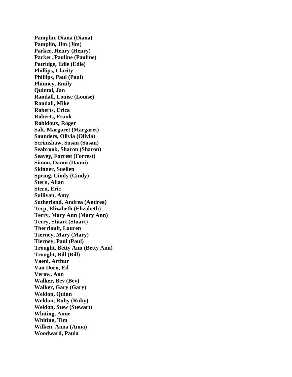**Pamplin, Diana (Diana) Pamplin, Jim (Jim) Parker, Henry (Henry) Parker, Pauline (Pauline) Patridge, Edie (Edie) Phillips, Clarity Phillips, Paul (Paul) Phinney, Emily Quintal, Jan Randall, Louise (Louise) Randall, Mike Roberts, Erica Roberts, Frank Robidoux, Roger Salt, Margaret (Margaret) Saunders, Olivia (Olivia) Scrimshaw, Susan (Susan) Seabrook, Sharon (Sharon) Seavey, Forrest (Forrest) Simon, Danni (Danni) Skinner, Suellen Spring, Cindy (Cindy) Stern, Allan Stern, Eric Sullivan, Amy Sutherland, Andrea (Andrea) Terp, Elizabeth (Elizabeth) Terry, Mary Ann (Mary Ann) Terry, Stuart (Stuart) Therriault, Lauren Tierney, Mary (Mary) Tierney, Paul (Paul) Trought, Betty Ann (Betty Ann) Trought, Bill (Bill) Vaeni, Arthur Van Dorn, Ed Verow, Ann Walker, Bev (Bev) Walker, Gary (Gary) Weldon, Quinn Weldon, Ruby (Ruby) Weldon, Stew (Stewart) Whiting, Anne Whiting, Tim Wilken, Anna (Anna) Woodward, Paula**